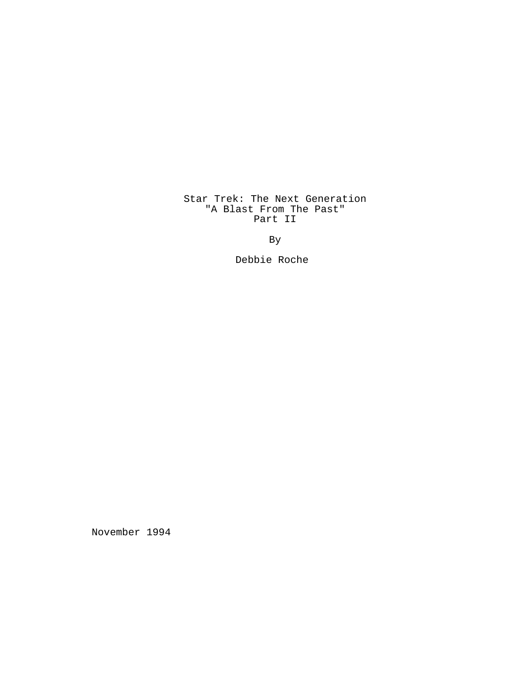# Star Trek: The Next Generation "A Blast From The Past" Part II

By

Debbie Roche

November 1994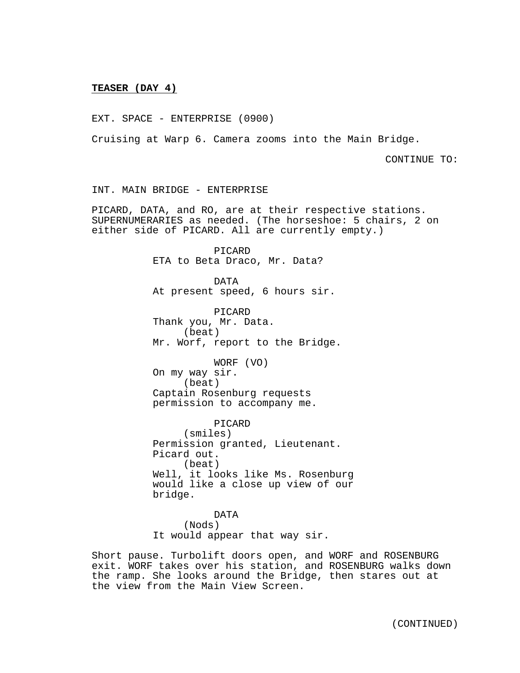# **TEASER (DAY 4)**

EXT. SPACE - ENTERPRISE (0900)

Cruising at Warp 6. Camera zooms into the Main Bridge.

CONTINUE TO:

INT. MAIN BRIDGE - ENTERPRISE

PICARD, DATA, and RO, are at their respective stations. SUPERNUMERARIES as needed. (The horseshoe: 5 chairs, 2 on either side of PICARD. All are currently empty.)

> PICARD ETA to Beta Draco, Mr. Data?

DATA At present speed, 6 hours sir.

PICARD Thank you, Mr. Data. (beat) Mr. Worf, report to the Bridge.

WORF (VO) On my way sir. (beat) Captain Rosenburg requests permission to accompany me.

PICARD (smiles) Permission granted, Lieutenant. Picard out. (beat) Well, it looks like Ms. Rosenburg would like a close up view of our bridge.

DATA (Nods) It would appear that way sir.

Short pause. Turbolift doors open, and WORF and ROSENBURG exit. WORF takes over his station, and ROSENBURG walks down the ramp. She looks around the Bridge, then stares out at the view from the Main View Screen.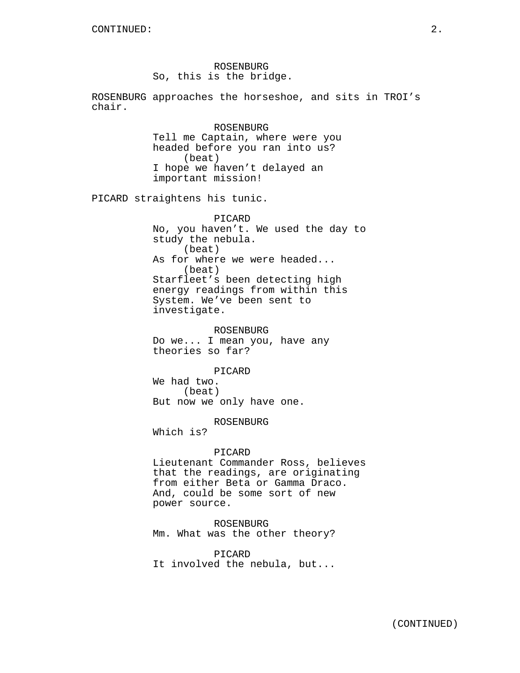ROSENBURG So, this is the bridge.

ROSENBURG approaches the horseshoe, and sits in TROI's chair.

> ROSENBURG Tell me Captain, where were you headed before you ran into us? (beat) I hope we haven't delayed an important mission!

PICARD straightens his tunic.

PICARD No, you haven't. We used the day to study the nebula. (beat) As for where we were headed... (beat) Starfleet's been detecting high energy readings from within this System. We've been sent to investigate.

ROSENBURG Do we... I mean you, have any theories so far?

PICARD We had two. (beat) But now we only have one.

ROSENBURG

Which is?

#### PICARD

Lieutenant Commander Ross, believes that the readings, are originating from either Beta or Gamma Draco. And, could be some sort of new power source.

ROSENBURG Mm. What was the other theory?

PICARD It involved the nebula, but...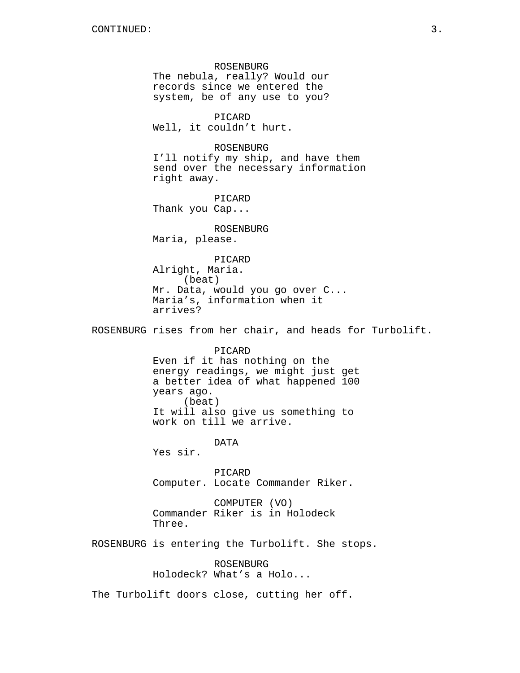ROSENBURG The nebula, really? Would our records since we entered the system, be of any use to you? PICARD Well, it couldn't hurt. ROSENBURG I'll notify my ship, and have them send over the necessary information right away. PICARD Thank you Cap... ROSENBURG Maria, please. PICARD Alright, Maria. (beat) Mr. Data, would you go over C... Maria's, information when it arrives? ROSENBURG rises from her chair, and heads for Turbolift. PICARD Even if it has nothing on the energy readings, we might just get a better idea of what happened 100 years ago. (beat) It will also give us something to work on till we arrive. DATA Yes sir. PICARD Computer. Locate Commander Riker. COMPUTER (VO) Commander Riker is in Holodeck Three. ROSENBURG is entering the Turbolift. She stops. ROSENBURG Holodeck? What's a Holo... The Turbolift doors close, cutting her off.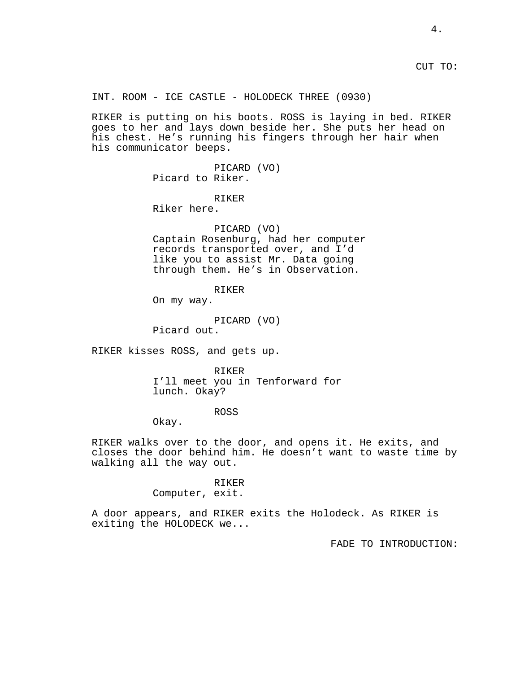CUT TO:

INT. ROOM - ICE CASTLE - HOLODECK THREE (0930)

RIKER is putting on his boots. ROSS is laying in bed. RIKER goes to her and lays down beside her. She puts her head on his chest. He's running his fingers through her hair when his communicator beeps.

> PICARD (VO) Picard to Riker.

# RIKER

Riker here.

# PICARD (VO) Captain Rosenburg, had her computer records transported over, and I'd like you to assist Mr. Data going through them. He's in Observation.

# RIKER

On my way.

PICARD (VO)

Picard out.

RIKER kisses ROSS, and gets up.

RIKER I'll meet you in Tenforward for lunch. Okay?

## ROSS

Okay.

RIKER walks over to the door, and opens it. He exits, and closes the door behind him. He doesn't want to waste time by walking all the way out.

#### RIKER

Computer, exit.

A door appears, and RIKER exits the Holodeck. As RIKER is exiting the HOLODECK we...

FADE TO INTRODUCTION: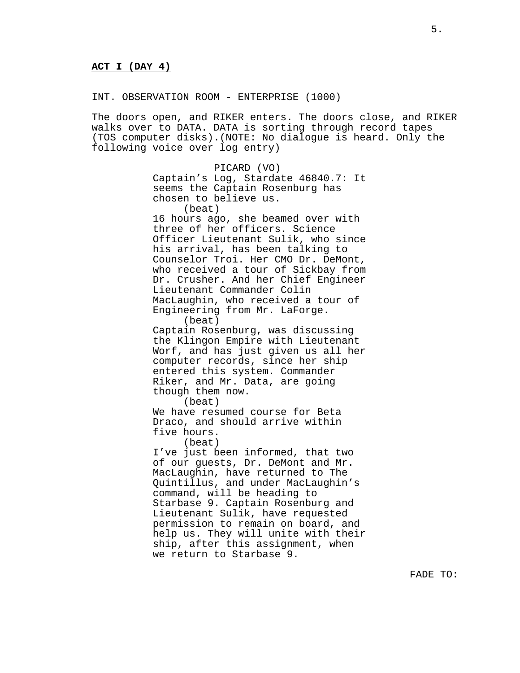INT. OBSERVATION ROOM - ENTERPRISE (1000)

The doors open, and RIKER enters. The doors close, and RIKER walks over to DATA. DATA is sorting through record tapes (TOS computer disks).(NOTE: No dialogue is heard. Only the following voice over log entry)

> PICARD (VO) Captain's Log, Stardate 46840.7: It seems the Captain Rosenburg has chosen to believe us. (beat) 16 hours ago, she beamed over with three of her officers. Science Officer Lieutenant Sulik, who since his arrival, has been talking to Counselor Troi. Her CMO Dr. DeMont, who received a tour of Sickbay from Dr. Crusher. And her Chief Engineer Lieutenant Commander Colin MacLaughin, who received a tour of Engineering from Mr. LaForge. (beat) Captain Rosenburg, was discussing the Klingon Empire with Lieutenant Worf, and has just given us all her computer records, since her ship entered this system. Commander Riker, and Mr. Data, are going though them now. (beat) We have resumed course for Beta Draco, and should arrive within five hours. (beat) I've just been informed, that two of our guests, Dr. DeMont and Mr. MacLaughin, have returned to The Quintillus, and under MacLaughin's command, will be heading to Starbase 9. Captain Rosenburg and Lieutenant Sulik, have requested permission to remain on board, and help us. They will unite with their

ship, after this assignment, when

we return to Starbase 9.

FADE TO: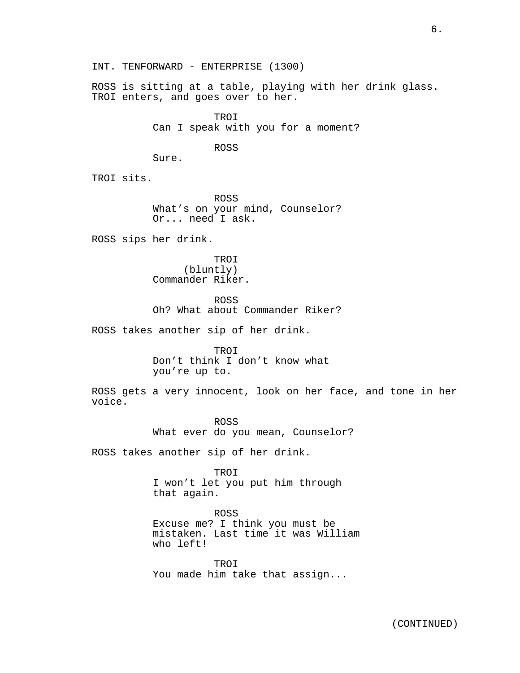INT. TENFORWARD - ENTERPRISE (1300)

ROSS is sitting at a table, playing with her drink glass. TROI enters, and goes over to her.

> TROI Can I speak with you for a moment?

> > ROSS

Sure.

TROI sits.

ROSS What's on your mind, Counselor? Or... need I ask.

ROSS sips her drink.

TROI (bluntly) Commander Riker.

ROSS Oh? What about Commander Riker?

ROSS takes another sip of her drink.

TROI Don't think I don't know what you're up to.

ROSS gets a very innocent, look on her face, and tone in her voice.

> ROSS What ever do you mean, Counselor?

ROSS takes another sip of her drink.

TROI I won't let you put him through that again.

ROSS Excuse me? I think you must be mistaken. Last time it was William who left!

TROI You made him take that assign...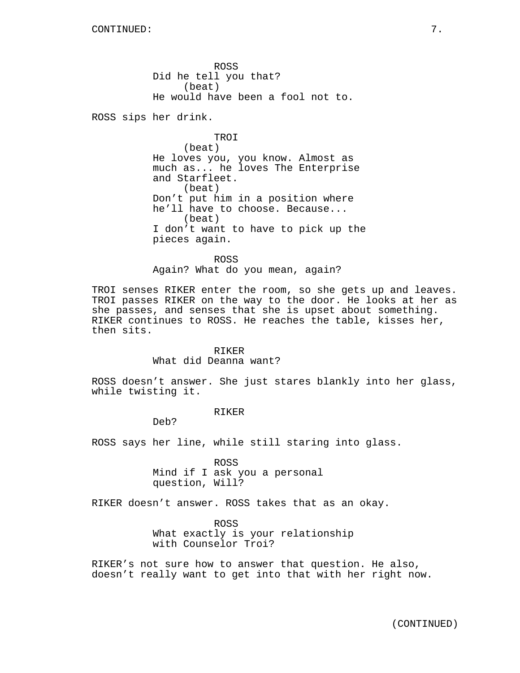ROSS Did he tell you that? (beat) He would have been a fool not to.

ROSS sips her drink.

TROI (beat) He loves you, you know. Almost as much as... he loves The Enterprise and Starfleet. (beat) Don't put him in a position where he'll have to choose. Because... (beat) I don't want to have to pick up the pieces again.

ROSS Again? What do you mean, again?

TROI senses RIKER enter the room, so she gets up and leaves. TROI passes RIKER on the way to the door. He looks at her as she passes, and senses that she is upset about something. RIKER continues to ROSS. He reaches the table, kisses her, then sits.

#### RIKER

#### What did Deanna want?

ROSS doesn't answer. She just stares blankly into her glass, while twisting it.

### RIKER

Deb?

ROSS says her line, while still staring into glass.

ROSS Mind if I ask you a personal question, Will?

RIKER doesn't answer. ROSS takes that as an okay.

ROSS What exactly is your relationship with Counselor Troi?

RIKER's not sure how to answer that question. He also, doesn't really want to get into that with her right now.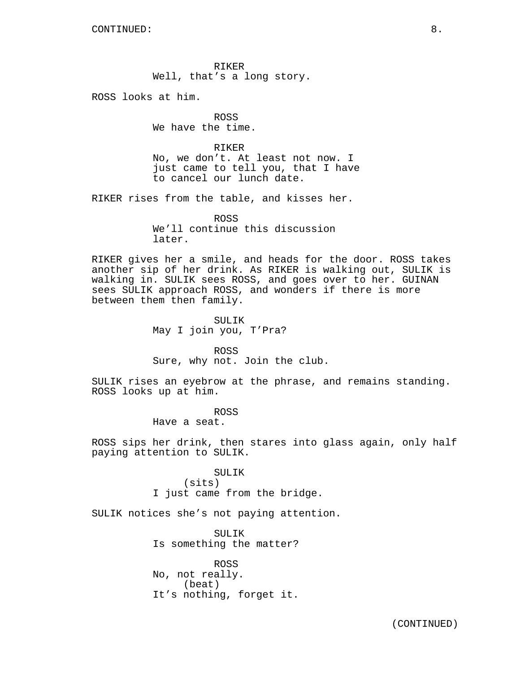RIKER Well, that's a long story.

ROSS looks at him.

ROSS We have the time.

RIKER No, we don't. At least not now. I just came to tell you, that I have to cancel our lunch date.

RIKER rises from the table, and kisses her.

ROSS We'll continue this discussion later.

RIKER gives her a smile, and heads for the door. ROSS takes another sip of her drink. As RIKER is walking out, SULIK is walking in. SULIK sees ROSS, and goes over to her. GUINAN sees SULIK approach ROSS, and wonders if there is more between them then family.

> SULIK May I join you, T'Pra?

ROSS Sure, why not. Join the club.

SULIK rises an eyebrow at the phrase, and remains standing. ROSS looks up at him.

> ROSS Have a seat.

ROSS sips her drink, then stares into glass again, only half paying attention to SULIK.

> SULIK (sits) I just came from the bridge.

SULIK notices she's not paying attention.

SULIK Is something the matter?

ROSS No, not really. (beat) It's nothing, forget it.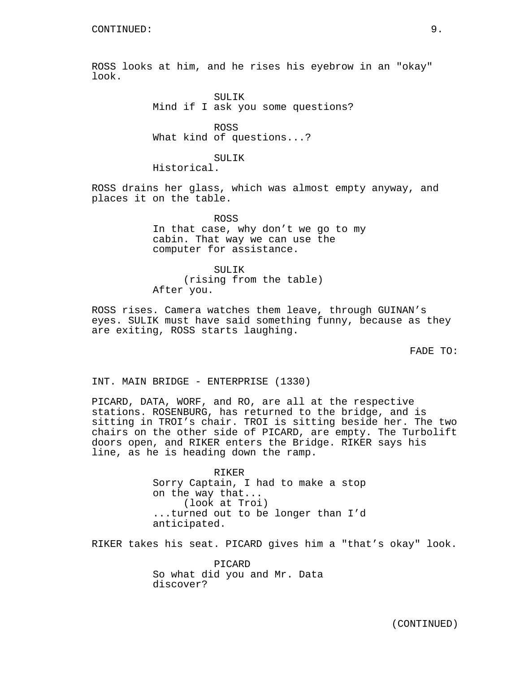ROSS looks at him, and he rises his eyebrow in an "okay" look.

> SULTK<sub>s</sub> Mind if I ask you some questions?

ROSS What kind of questions...?

## SULIK

Historical.

ROSS drains her glass, which was almost empty anyway, and places it on the table.

> ROSS In that case, why don't we go to my cabin. That way we can use the computer for assistance.

SUL TK (rising from the table) After you.

ROSS rises. Camera watches them leave, through GUINAN's eyes. SULIK must have said something funny, because as they are exiting, ROSS starts laughing.

FADE TO:

INT. MAIN BRIDGE - ENTERPRISE (1330)

PICARD, DATA, WORF, and RO, are all at the respective stations. ROSENBURG, has returned to the bridge, and is sitting in TROI's chair. TROI is sitting beside her. The two chairs on the other side of PICARD, are empty. The Turbolift doors open, and RIKER enters the Bridge. RIKER says his line, as he is heading down the ramp.

> RIKER Sorry Captain, I had to make a stop on the way that... (look at Troi) ...turned out to be longer than I'd anticipated.

RIKER takes his seat. PICARD gives him a "that's okay" look.

PICARD So what did you and Mr. Data discover?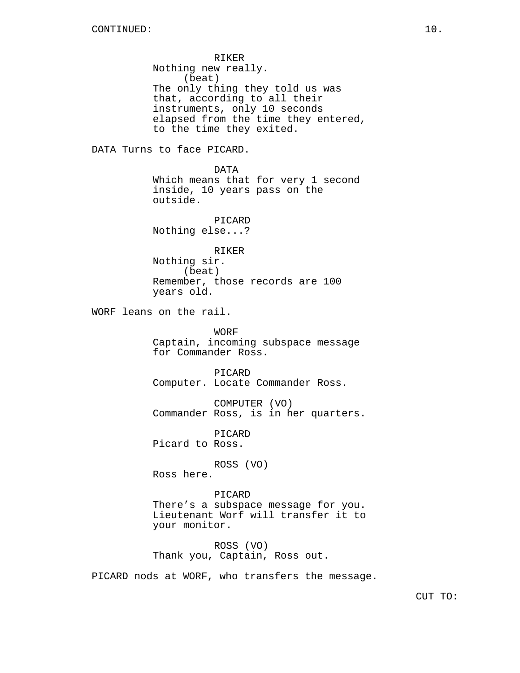RIKER Nothing new really. (beat) The only thing they told us was that, according to all their instruments, only 10 seconds elapsed from the time they entered, to the time they exited.

DATA Turns to face PICARD.

DATA Which means that for very 1 second inside, 10 years pass on the outside.

PICARD Nothing else...?

RIKER Nothing sir. (beat) Remember, those records are 100 years old.

WORF leans on the rail.

WORF Captain, incoming subspace message for Commander Ross.

PICARD Computer. Locate Commander Ross.

COMPUTER (VO) Commander Ross, is in her quarters.

PICARD Picard to Ross.

ROSS (VO)

Ross here.

PICARD There's a subspace message for you. Lieutenant Worf will transfer it to your monitor.

ROSS (VO) Thank you, Captain, Ross out.

PICARD nods at WORF, who transfers the message.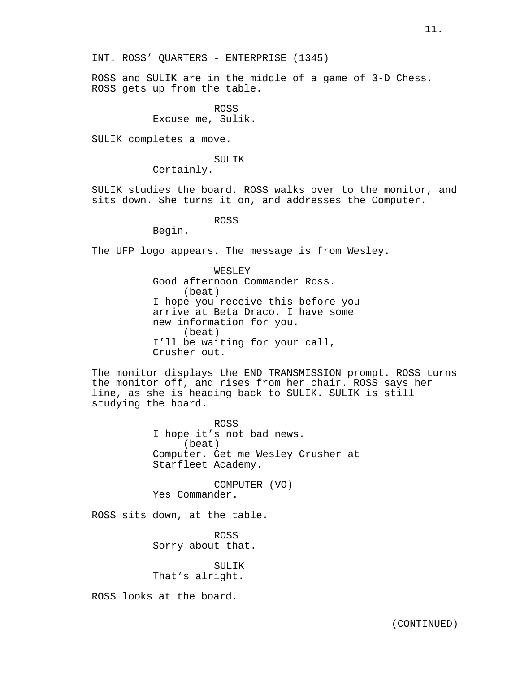ROSS and SULIK are in the middle of a game of 3-D Chess. ROSS gets up from the table.

> ROSS Excuse me, Sulik.

SULIK completes a move.

SULIK

Certainly.

SULIK studies the board. ROSS walks over to the monitor, and sits down. She turns it on, and addresses the Computer.

ROSS

Begin.

The UFP logo appears. The message is from Wesley.

WESLEY Good afternoon Commander Ross. (beat) I hope you receive this before you arrive at Beta Draco. I have some new information for you. (beat) I'll be waiting for your call, Crusher out.

The monitor displays the END TRANSMISSION prompt. ROSS turns the monitor off, and rises from her chair. ROSS says her line, as she is heading back to SULIK. SULIK is still studying the board.

> ROSS I hope it's not bad news. (beat) Computer. Get me Wesley Crusher at Starfleet Academy.

COMPUTER (VO) Yes Commander.

ROSS sits down, at the table.

ROSS Sorry about that.

SULIK That's alright.

ROSS looks at the board.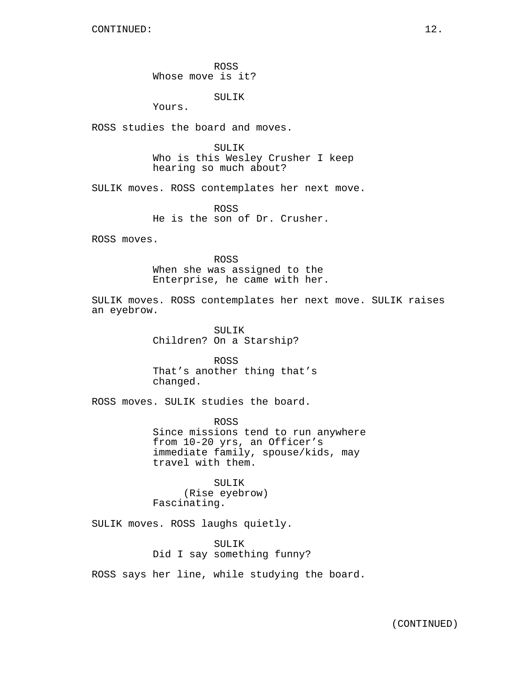ROSS Whose move is it?

SULIK

Yours.

ROSS studies the board and moves.

SULIK Who is this Wesley Crusher I keep hearing so much about?

SULIK moves. ROSS contemplates her next move.

ROSS He is the son of Dr. Crusher.

ROSS moves.

ROSS When she was assigned to the Enterprise, he came with her.

SULIK moves. ROSS contemplates her next move. SULIK raises an eyebrow.

> SULIK Children? On a Starship?

ROSS That's another thing that's changed.

ROSS moves. SULIK studies the board.

ROSS Since missions tend to run anywhere from 10-20 yrs, an Officer's immediate family, spouse/kids, may travel with them.

SULIK (Rise eyebrow) Fascinating.

SULIK moves. ROSS laughs quietly.

SULIK Did I say something funny?

ROSS says her line, while studying the board.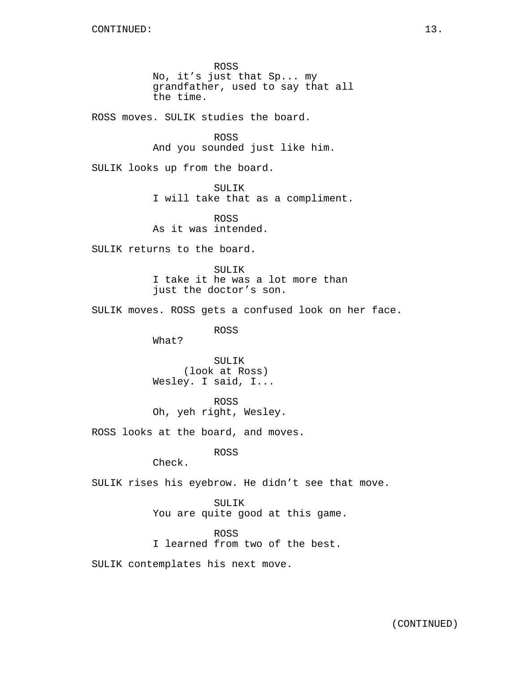ROSS No, it's just that Sp... my grandfather, used to say that all the time.

ROSS moves. SULIK studies the board.

ROSS And you sounded just like him.

SULIK looks up from the board.

SULIK I will take that as a compliment.

ROSS As it was intended.

SULIK returns to the board.

SULIK I take it he was a lot more than just the doctor's son.

SULIK moves. ROSS gets a confused look on her face.

ROSS

What?

SULIK (look at Ross) Wesley. I said, I...

ROSS Oh, yeh right, Wesley.

ROSS looks at the board, and moves.

ROSS

Check.

SULIK rises his eyebrow. He didn't see that move.

SULIK You are quite good at this game.

ROSS I learned from two of the best.

SULIK contemplates his next move.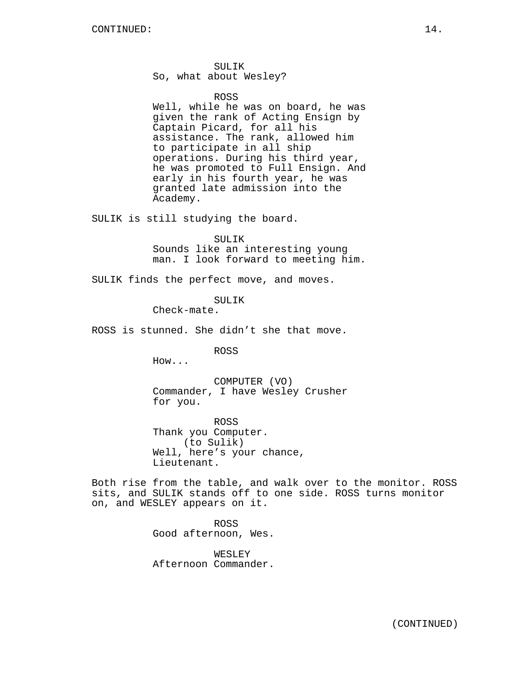SULIK So, what about Wesley?

#### ROSS

Well, while he was on board, he was given the rank of Acting Ensign by Captain Picard, for all his assistance. The rank, allowed him to participate in all ship operations. During his third year, he was promoted to Full Ensign. And early in his fourth year, he was granted late admission into the Academy.

SULIK is still studying the board.

SULIK Sounds like an interesting young man. I look forward to meeting him.

SULIK finds the perfect move, and moves.

SULIK

Check-mate.

ROSS is stunned. She didn't she that move.

ROSS

How...

COMPUTER (VO) Commander, I have Wesley Crusher for you.

ROSS Thank you Computer. (to Sulik) Well, here's your chance, Lieutenant.

Both rise from the table, and walk over to the monitor. ROSS sits, and SULIK stands off to one side. ROSS turns monitor on, and WESLEY appears on it.

> ROSS Good afternoon, Wes.

> WESLEY Afternoon Commander.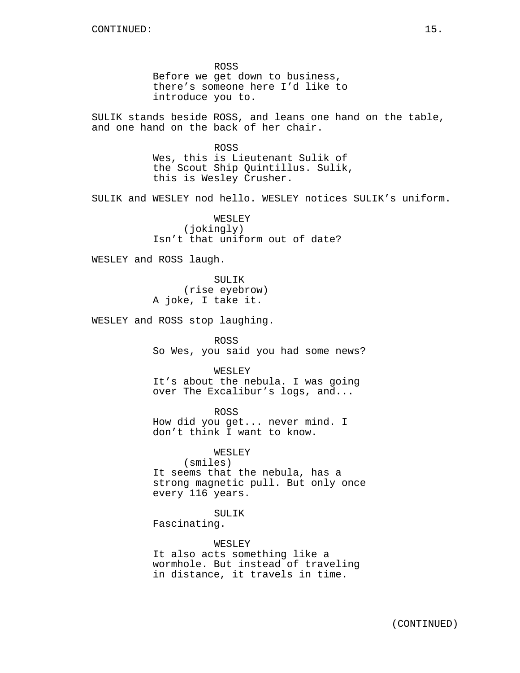ROSS Before we get down to business, there's someone here I'd like to introduce you to.

SULIK stands beside ROSS, and leans one hand on the table, and one hand on the back of her chair.

> ROSS Wes, this is Lieutenant Sulik of the Scout Ship Quintillus. Sulik, this is Wesley Crusher.

SULIK and WESLEY nod hello. WESLEY notices SULIK's uniform.

WESLEY (jokingly) Isn't that uniform out of date?

WESLEY and ROSS laugh.

SULIK (rise eyebrow) A joke, I take it.

WESLEY and ROSS stop laughing.

ROSS So Wes, you said you had some news?

WESLEY It's about the nebula. I was going over The Excalibur's logs, and...

ROSS How did you get... never mind. I don't think I want to know.

WESLEY

(smiles) It seems that the nebula, has a strong magnetic pull. But only once every 116 years.

SULIK

Fascinating.

WESLEY

It also acts something like a wormhole. But instead of traveling in distance, it travels in time.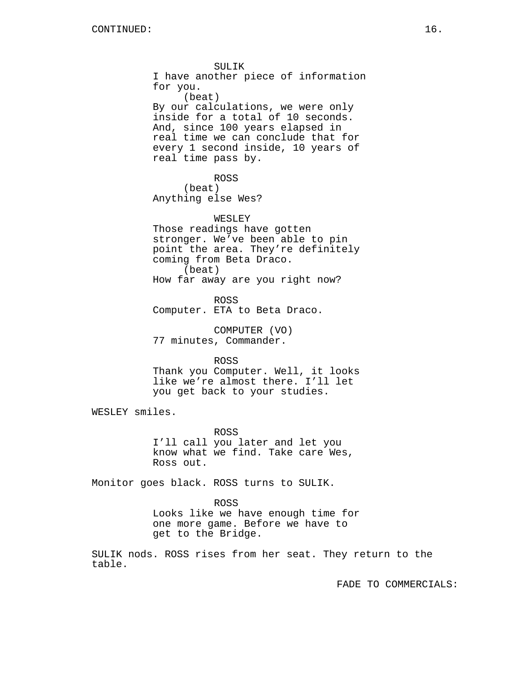SULIK I have another piece of information for you. (beat) By our calculations, we were only inside for a total of 10 seconds. And, since 100 years elapsed in real time we can conclude that for every 1 second inside, 10 years of real time pass by. ROSS (beat) Anything else Wes? WESLEY Those readings have gotten stronger. We've been able to pin point the area. They're definitely coming from Beta Draco. (beat) How far away are you right now?

ROSS Computer. ETA to Beta Draco.

COMPUTER (VO) 77 minutes, Commander.

ROSS

Thank you Computer. Well, it looks like we're almost there. I'll let you get back to your studies.

WESLEY smiles.

ROSS I'll call you later and let you know what we find. Take care Wes, Ross out.

Monitor goes black. ROSS turns to SULIK.

ROSS

Looks like we have enough time for one more game. Before we have to get to the Bridge.

SULIK nods. ROSS rises from her seat. They return to the table.

FADE TO COMMERCIALS: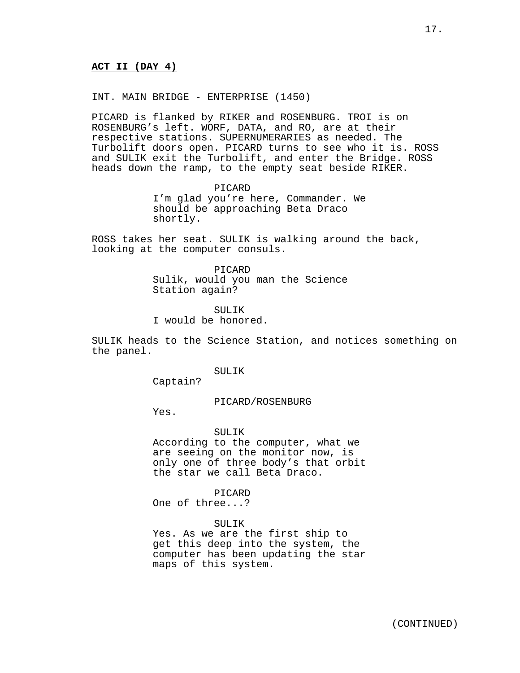# **ACT II (DAY 4)**

INT. MAIN BRIDGE - ENTERPRISE (1450)

PICARD is flanked by RIKER and ROSENBURG. TROI is on ROSENBURG's left. WORF, DATA, and RO, are at their respective stations. SUPERNUMERARIES as needed. The Turbolift doors open. PICARD turns to see who it is. ROSS and SULIK exit the Turbolift, and enter the Bridge. ROSS heads down the ramp, to the empty seat beside RIKER.

> PICARD I'm glad you're here, Commander. We should be approaching Beta Draco shortly.

ROSS takes her seat. SULIK is walking around the back, looking at the computer consuls.

> PICARD Sulik, would you man the Science Station again?

SULTK I would be honored.

SULIK heads to the Science Station, and notices something on the panel.

# SULIK

Captain?

### PICARD/ROSENBURG

Yes.

#### SULIK

According to the computer, what we are seeing on the monitor now, is only one of three body's that orbit the star we call Beta Draco.

PICARD

One of three...?

SULIK

Yes. As we are the first ship to get this deep into the system, the computer has been updating the star maps of this system.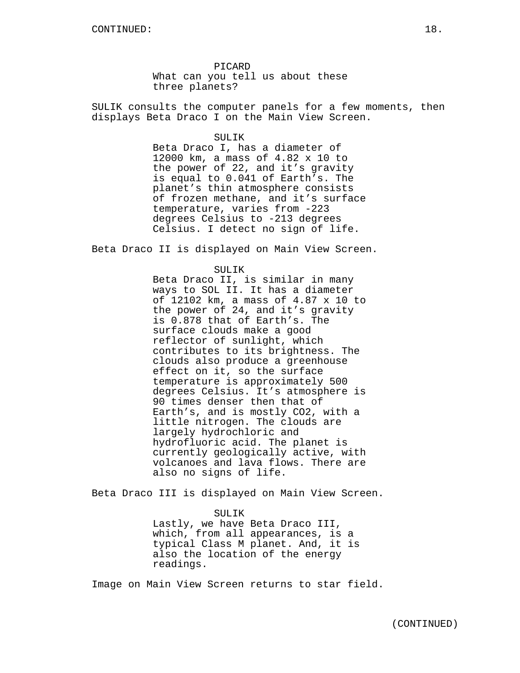PICARD What can you tell us about these three planets?

SULIK consults the computer panels for a few moments, then displays Beta Draco I on the Main View Screen.

#### SULIK

Beta Draco I, has a diameter of 12000 km, a mass of 4.82 x 10 to the power of 22, and it's gravity is equal to 0.041 of Earth's. The planet's thin atmosphere consists of frozen methane, and it's surface temperature, varies from -223 degrees Celsius to -213 degrees Celsius. I detect no sign of life.

Beta Draco II is displayed on Main View Screen.

SULIK

Beta Draco II, is similar in many ways to SOL II. It has a diameter of 12102 km, a mass of 4.87 x 10 to the power of 24, and it's gravity is 0.878 that of Earth's. The surface clouds make a good reflector of sunlight, which contributes to its brightness. The clouds also produce a greenhouse effect on it, so the surface temperature is approximately 500 degrees Celsius. It's atmosphere is 90 times denser then that of Earth's, and is mostly CO2, with a little nitrogen. The clouds are largely hydrochloric and hydrofluoric acid. The planet is currently geologically active, with volcanoes and lava flows. There are also no signs of life.

Beta Draco III is displayed on Main View Screen.

# SULIK

Lastly, we have Beta Draco III, which, from all appearances, is a typical Class M planet. And, it is also the location of the energy readings.

Image on Main View Screen returns to star field.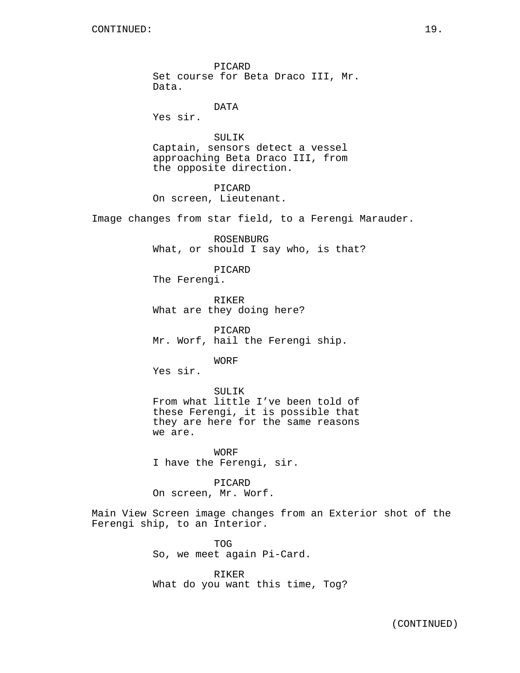PICARD Set course for Beta Draco III, Mr. Data.

DATA

Yes sir.

SULIK Captain, sensors detect a vessel approaching Beta Draco III, from the opposite direction.

PICARD On screen, Lieutenant.

Image changes from star field, to a Ferengi Marauder.

ROSENBURG What, or should I say who, is that?

PICARD The Ferengi.

RIKER What are they doing here?

PICARD Mr. Worf, hail the Ferengi ship.

WORF

Yes sir.

SULIK From what little I've been told of these Ferengi, it is possible that they are here for the same reasons we are.

WORF I have the Ferengi, sir.

PICARD On screen, Mr. Worf.

Main View Screen image changes from an Exterior shot of the Ferengi ship, to an Interior.

> TOG So, we meet again Pi-Card.

RIKER What do you want this time, Tog?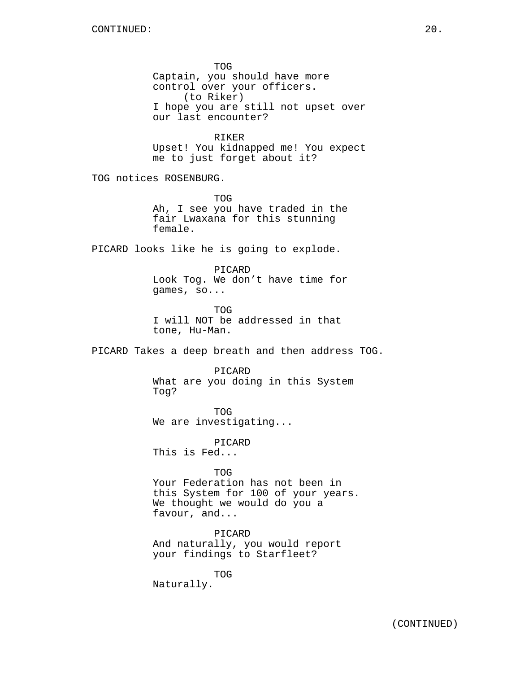TOG Captain, you should have more control over your officers. (to Riker) I hope you are still not upset over our last encounter? RIKER Upset! You kidnapped me! You expect me to just forget about it? TOG notices ROSENBURG. TOG

Ah, I see you have traded in the fair Lwaxana for this stunning female.

PICARD looks like he is going to explode.

PICARD Look Tog. We don't have time for games, so...

TOG I will NOT be addressed in that tone, Hu-Man.

PICARD Takes a deep breath and then address TOG.

PICARD What are you doing in this System Tog?

TOG We are investigating...

PICARD This is Fed...

TOG Your Federation has not been in this System for 100 of your years. We thought we would do you a favour, and...

PICARD And naturally, you would report your findings to Starfleet?

TOG Naturally.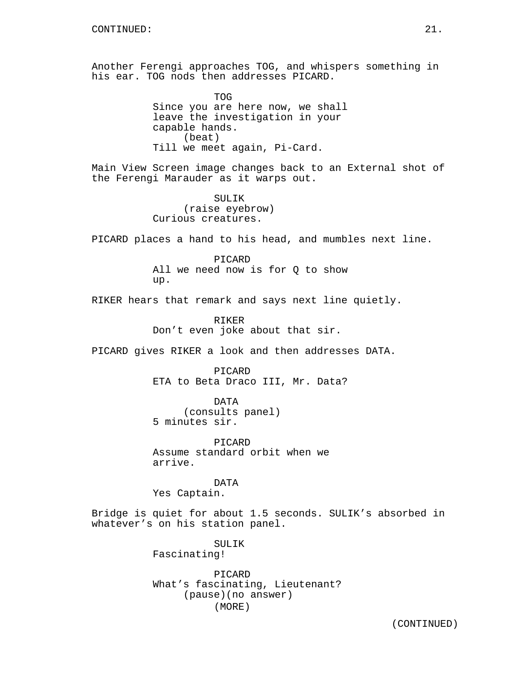Another Ferengi approaches TOG, and whispers something in his ear. TOG nods then addresses PICARD.

> TOG Since you are here now, we shall leave the investigation in your capable hands. (beat) Till we meet again, Pi-Card.

Main View Screen image changes back to an External shot of the Ferengi Marauder as it warps out.

> SULIK (raise eyebrow) Curious creatures.

PICARD places a hand to his head, and mumbles next line.

PICARD All we need now is for Q to show up.

RIKER hears that remark and says next line quietly.

RIKER Don't even joke about that sir.

PICARD gives RIKER a look and then addresses DATA.

PICARD ETA to Beta Draco III, Mr. Data?

DATA (consults panel) 5 minutes sir.

PICARD Assume standard orbit when we arrive.

DATA Yes Captain.

Bridge is quiet for about 1.5 seconds. SULIK's absorbed in whatever's on his station panel.

> SULIK Fascinating!

PICARD What's fascinating, Lieutenant? (pause)(no answer) (MORE)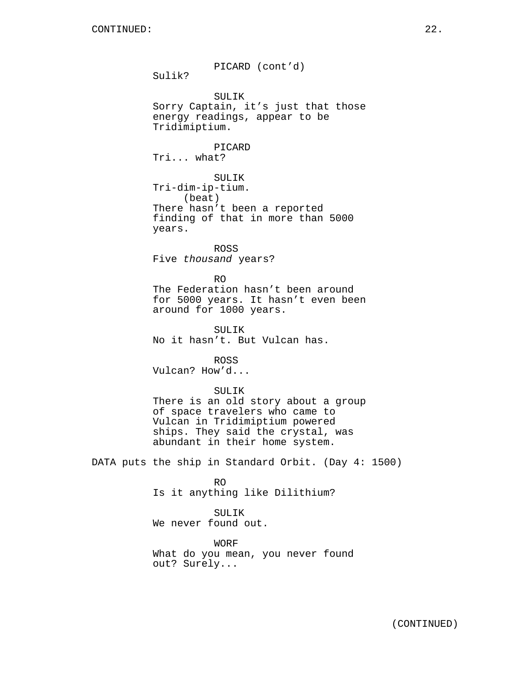PICARD (cont'd) Sulik? SULIK Sorry Captain, it's just that those energy readings, appear to be Tridimiptium. PICARD Tri... what? SULIK Tri-dim-ip-tium. (beat) There hasn't been a reported finding of that in more than 5000 years. ROSS Five thousand years? RO The Federation hasn't been around for 5000 years. It hasn't even been around for 1000 years. SULIK No it hasn't. But Vulcan has. ROSS Vulcan? How'd... SULIK There is an old story about a group of space travelers who came to Vulcan in Tridimiptium powered ships. They said the crystal, was abundant in their home system. DATA puts the ship in Standard Orbit. (Day 4: 1500) RO Is it anything like Dilithium? SULIK We never found out. WORF What do you mean, you never found out? Surely...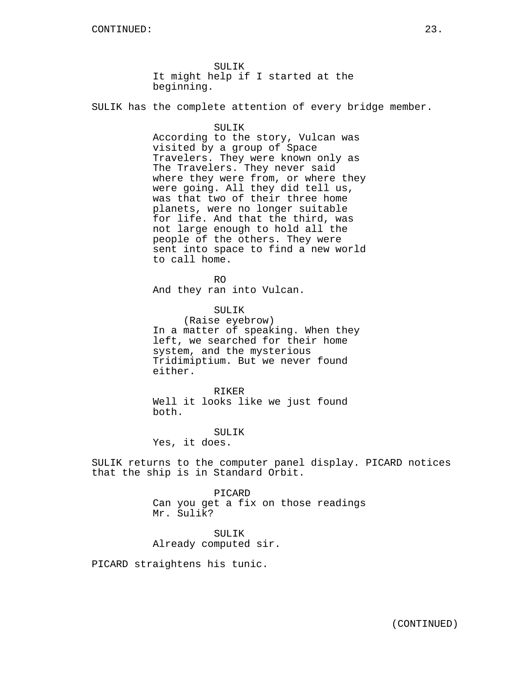SULIK It might help if I started at the beginning.

SULIK has the complete attention of every bridge member.

#### SULIK

According to the story, Vulcan was visited by a group of Space Travelers. They were known only as The Travelers. They never said where they were from, or where they were going. All they did tell us, was that two of their three home planets, were no longer suitable for life. And that the third, was not large enough to hold all the people of the others. They were sent into space to find a new world to call home.

RO

And they ran into Vulcan.

SULIK

(Raise eyebrow) In a matter of speaking. When they left, we searched for their home system, and the mysterious Tridimiptium. But we never found either.

RIKER Well it looks like we just found both.

SULIK

Yes, it does.

SULIK returns to the computer panel display. PICARD notices that the ship is in Standard Orbit.

> PICARD Can you get a fix on those readings Mr. Sulik?

SULIK Already computed sir.

PICARD straightens his tunic.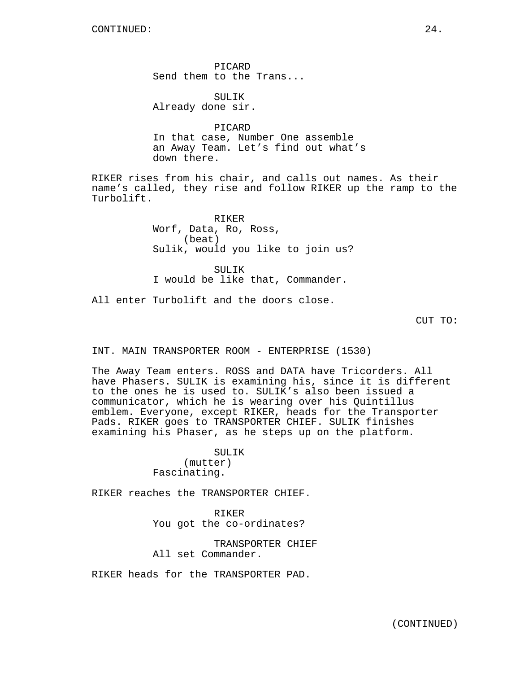PICARD Send them to the Trans...

SULIK Already done sir.

PICARD In that case, Number One assemble an Away Team. Let's find out what's down there.

RIKER rises from his chair, and calls out names. As their name's called, they rise and follow RIKER up the ramp to the Turbolift.

> RIKER Worf, Data, Ro, Ross, (beat) Sulik, would you like to join us?

SUL TK I would be like that, Commander.

All enter Turbolift and the doors close.

CUT TO:

INT. MAIN TRANSPORTER ROOM - ENTERPRISE (1530)

The Away Team enters. ROSS and DATA have Tricorders. All have Phasers. SULIK is examining his, since it is different to the ones he is used to. SULIK's also been issued a communicator, which he is wearing over his Quintillus emblem. Everyone, except RIKER, heads for the Transporter Pads. RIKER goes to TRANSPORTER CHIEF. SULIK finishes examining his Phaser, as he steps up on the platform.

> SULIK (mutter) Fascinating.

RIKER reaches the TRANSPORTER CHIEF.

RIKER You got the co-ordinates?

TRANSPORTER CHIEF All set Commander.

RIKER heads for the TRANSPORTER PAD.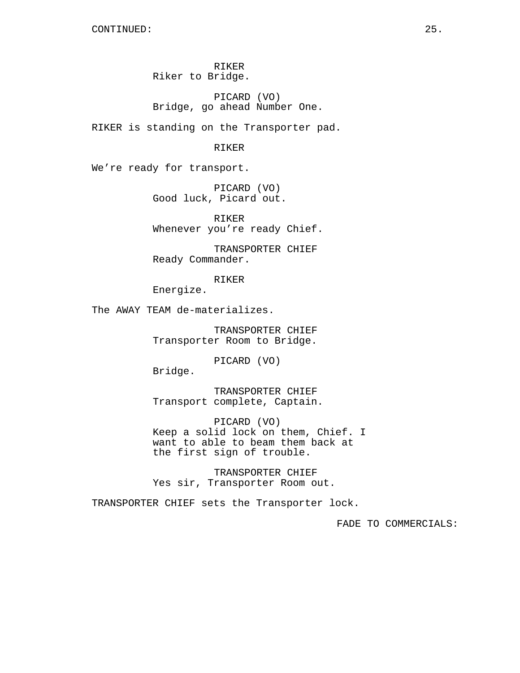RIKER Riker to Bridge.

PICARD (VO) Bridge, go ahead Number One.

RIKER is standing on the Transporter pad.

RIKER

We're ready for transport.

PICARD (VO) Good luck, Picard out.

RIKER Whenever you're ready Chief.

TRANSPORTER CHIEF Ready Commander.

RIKER

Energize.

The AWAY TEAM de-materializes.

TRANSPORTER CHIEF Transporter Room to Bridge.

PICARD (VO)

Bridge.

TRANSPORTER CHIEF Transport complete, Captain.

PICARD (VO) Keep a solid lock on them, Chief. I want to able to beam them back at the first sign of trouble.

TRANSPORTER CHIEF Yes sir, Transporter Room out.

TRANSPORTER CHIEF sets the Transporter lock.

FADE TO COMMERCIALS: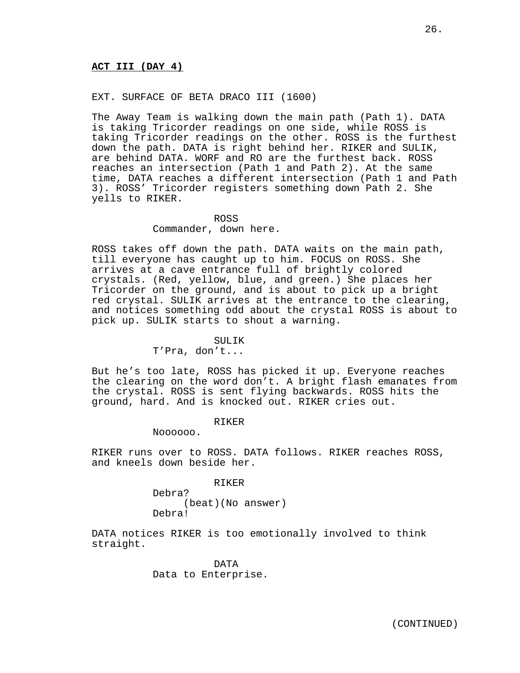# **ACT III (DAY 4)**

# EXT. SURFACE OF BETA DRACO III (1600)

The Away Team is walking down the main path (Path 1). DATA is taking Tricorder readings on one side, while ROSS is taking Tricorder readings on the other. ROSS is the furthest down the path. DATA is right behind her. RIKER and SULIK, are behind DATA. WORF and RO are the furthest back. ROSS reaches an intersection (Path 1 and Path 2). At the same time, DATA reaches a different intersection (Path 1 and Path 3). ROSS' Tricorder registers something down Path 2. She yells to RIKER.

## ROSS

Commander, down here.

ROSS takes off down the path. DATA waits on the main path, till everyone has caught up to him. FOCUS on ROSS. She arrives at a cave entrance full of brightly colored crystals. (Red, yellow, blue, and green.) She places her Tricorder on the ground, and is about to pick up a bright red crystal. SULIK arrives at the entrance to the clearing, and notices something odd about the crystal ROSS is about to pick up. SULIK starts to shout a warning.

### SULIK

T'Pra, don't...

But he's too late, ROSS has picked it up. Everyone reaches the clearing on the word don't. A bright flash emanates from the crystal. ROSS is sent flying backwards. ROSS hits the ground, hard. And is knocked out. RIKER cries out.

#### RIKER

Noooooo.

RIKER runs over to ROSS. DATA follows. RIKER reaches ROSS, and kneels down beside her.

RIKER

Debra? (beat)(No answer) Debra!

DATA notices RIKER is too emotionally involved to think straight.

> DATA Data to Enterprise.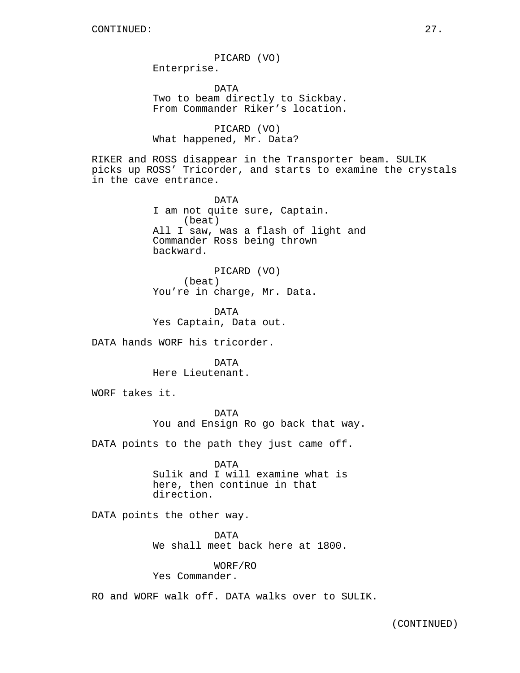PICARD (VO) Enterprise. DATA Two to beam directly to Sickbay. From Commander Riker's location.

PICARD (VO) What happened, Mr. Data?

RIKER and ROSS disappear in the Transporter beam. SULIK picks up ROSS' Tricorder, and starts to examine the crystals in the cave entrance.

> DATA I am not quite sure, Captain. (beat) All I saw, was a flash of light and Commander Ross being thrown backward.

PICARD (VO) (beat) You're in charge, Mr. Data.

DATA Yes Captain, Data out.

DATA hands WORF his tricorder.

DATA Here Lieutenant.

WORF takes it.

DATA You and Ensign Ro go back that way.

DATA points to the path they just came off.

DATA Sulik and I will examine what is here, then continue in that direction.

DATA points the other way.

DATA We shall meet back here at 1800.

WORF/RO

Yes Commander.

RO and WORF walk off. DATA walks over to SULIK.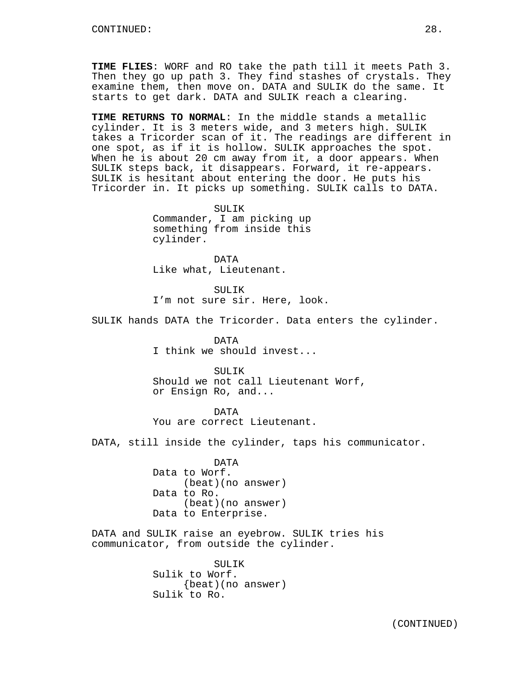**TIME FLIES**: WORF and RO take the path till it meets Path 3. Then they go up path 3. They find stashes of crystals. They examine them, then move on. DATA and SULIK do the same. It starts to get dark. DATA and SULIK reach a clearing.

**TIME RETURNS TO NORMAL**: In the middle stands a metallic cylinder. It is 3 meters wide, and 3 meters high. SULIK takes a Tricorder scan of it. The readings are different in one spot, as if it is hollow. SULIK approaches the spot. When he is about 20 cm away from it, a door appears. When SULIK steps back, it disappears. Forward, it re-appears. SULIK is hesitant about entering the door. He puts his Tricorder in. It picks up something. SULIK calls to DATA.

> SULIK Commander, I am picking up something from inside this cylinder.

DATA Like what, Lieutenant.

SULTK<sub>s</sub> I'm not sure sir. Here, look.

SULIK hands DATA the Tricorder. Data enters the cylinder.

DATA I think we should invest...

SULTK Should we not call Lieutenant Worf, or Ensign Ro, and...

DATA You are correct Lieutenant.

DATA, still inside the cylinder, taps his communicator.

DATA Data to Worf. (beat)(no answer) Data to Ro. (beat)(no answer) Data to Enterprise.

DATA and SULIK raise an eyebrow. SULIK tries his communicator, from outside the cylinder.

> SULIK Sulik to Worf. {beat)(no answer) Sulik to Ro.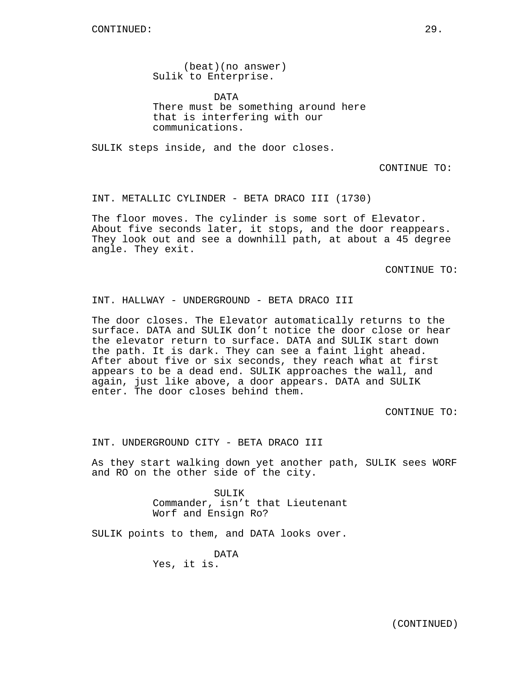(beat)(no answer) Sulik to Enterprise.

DATA There must be something around here that is interfering with our communications.

SULIK steps inside, and the door closes.

CONTINUE TO:

INT. METALLIC CYLINDER - BETA DRACO III (1730)

The floor moves. The cylinder is some sort of Elevator. About five seconds later, it stops, and the door reappears. They look out and see a downhill path, at about a 45 degree angle. They exit.

CONTINUE TO:

INT. HALLWAY - UNDERGROUND - BETA DRACO III

The door closes. The Elevator automatically returns to the surface. DATA and SULIK don't notice the door close or hear the elevator return to surface. DATA and SULIK start down the path. It is dark. They can see a faint light ahead. After about five or six seconds, they reach what at first appears to be a dead end. SULIK approaches the wall, and again, just like above, a door appears. DATA and SULIK enter. The door closes behind them.

CONTINUE TO:

INT. UNDERGROUND CITY - BETA DRACO III

As they start walking down yet another path, SULIK sees WORF and RO on the other side of the city.

> SULIK Commander, isn't that Lieutenant Worf and Ensign Ro?

SULIK points to them, and DATA looks over.

DATA Yes, it is.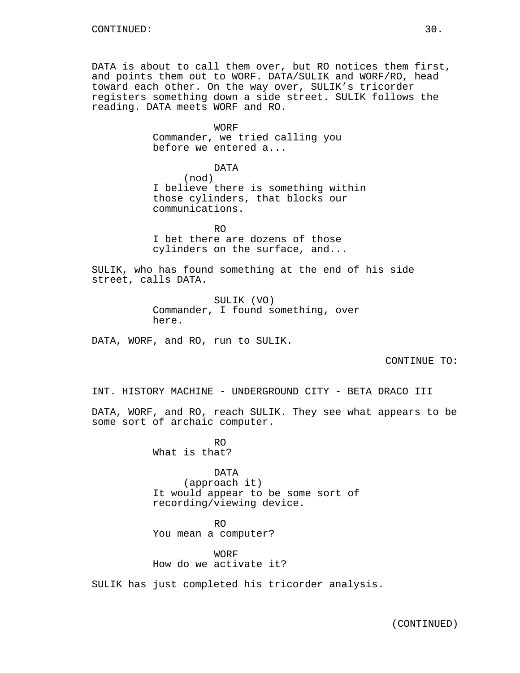DATA is about to call them over, but RO notices them first, and points them out to WORF. DATA/SULIK and WORF/RO, head toward each other. On the way over, SULIK's tricorder registers something down a side street. SULIK follows the reading. DATA meets WORF and RO.

> WORF Commander, we tried calling you before we entered a...

DATA (nod) I believe there is something within those cylinders, that blocks our communications.

RO I bet there are dozens of those cylinders on the surface, and...

SULIK, who has found something at the end of his side street, calls DATA.

> SULIK (VO) Commander, I found something, over here.

DATA, WORF, and RO, run to SULIK.

CONTINUE TO:

INT. HISTORY MACHINE - UNDERGROUND CITY - BETA DRACO III

DATA, WORF, and RO, reach SULIK. They see what appears to be some sort of archaic computer.

> RO What is that?

DATA (approach it) It would appear to be some sort of recording/viewing device.

RO You mean a computer?

**WORF** How do we activate it?

SULIK has just completed his tricorder analysis.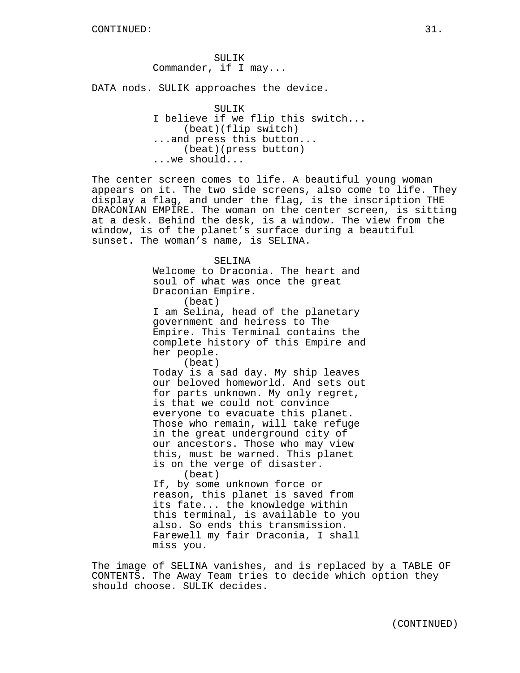SULIK Commander, if I may...

DATA nods. SULIK approaches the device.

SULIK I believe if we flip this switch... (beat)(flip switch) ...and press this button... (beat)(press button) ...we should...

The center screen comes to life. A beautiful young woman appears on it. The two side screens, also come to life. They display a flag, and under the flag, is the inscription THE DRACONIAN EMPIRE. The woman on the center screen, is sitting at a desk. Behind the desk, is a window. The view from the window, is of the planet's surface during a beautiful sunset. The woman's name, is SELINA.

> SELINA Welcome to Draconia. The heart and soul of what was once the great Draconian Empire. (beat) I am Selina, head of the planetary government and heiress to The Empire. This Terminal contains the complete history of this Empire and her people.

> > (beat)

Today is a sad day. My ship leaves our beloved homeworld. And sets out for parts unknown. My only regret, is that we could not convince everyone to evacuate this planet. Those who remain, will take refuge in the great underground city of our ancestors. Those who may view this, must be warned. This planet is on the verge of disaster. (beat)

If, by some unknown force or reason, this planet is saved from its fate... the knowledge within this terminal, is available to you also. So ends this transmission. Farewell my fair Draconia, I shall miss you.

The image of SELINA vanishes, and is replaced by a TABLE OF CONTENTS. The Away Team tries to decide which option they should choose. SULIK decides.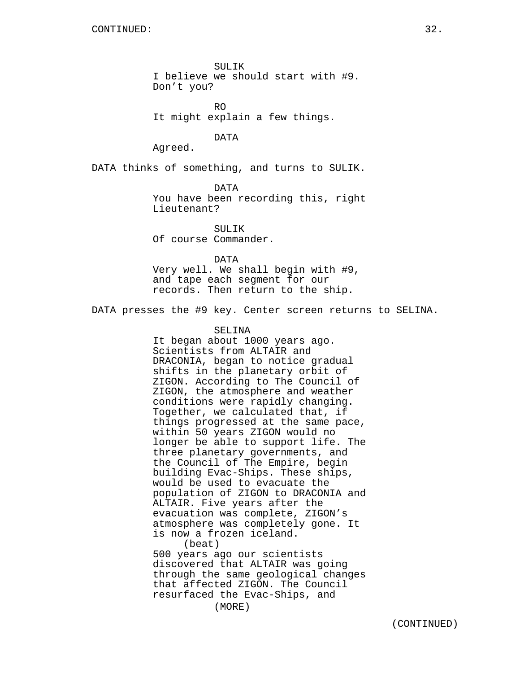SULIK I believe we should start with #9. Don't you?

RO It might explain a few things.

DATA

Agreed.

DATA thinks of something, and turns to SULIK.

DATA You have been recording this, right Lieutenant?

SULIK Of course Commander.

DATA

Very well. We shall begin with #9, and tape each segment for our records. Then return to the ship.

DATA presses the #9 key. Center screen returns to SELINA.

## SELINA

It began about 1000 years ago. Scientists from ALTAIR and DRACONIA, began to notice gradual shifts in the planetary orbit of ZIGON. According to The Council of ZIGON, the atmosphere and weather conditions were rapidly changing. Together, we calculated that, if things progressed at the same pace, within 50 years ZIGON would no longer be able to support life. The three planetary governments, and the Council of The Empire, begin building Evac-Ships. These ships, would be used to evacuate the population of ZIGON to DRACONIA and ALTAIR. Five years after the evacuation was complete, ZIGON's atmosphere was completely gone. It is now a frozen iceland. (beat) 500 years ago our scientists discovered that ALTAIR was going through the same geological changes

that affected ZIGON. The Council resurfaced the Evac-Ships, and (MORE)

(CONTINUED)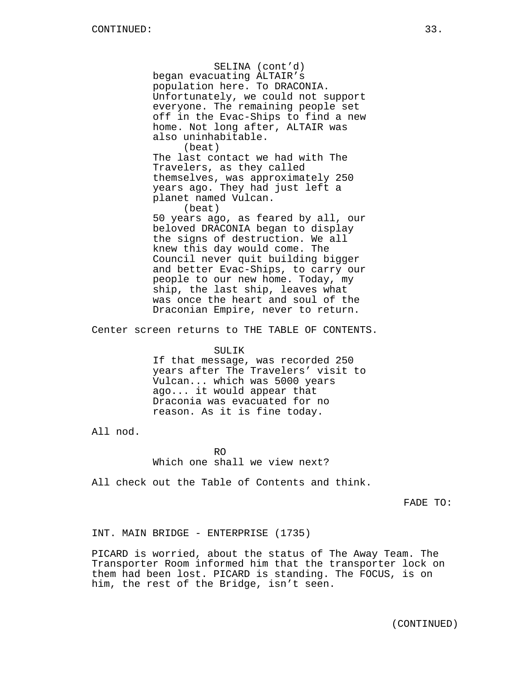SELINA (cont'd) began evacuating ALTAIR's population here. To DRACONIA. Unfortunately, we could not support everyone. The remaining people set off in the Evac-Ships to find a new home. Not long after, ALTAIR was also uninhabitable. (beat) The last contact we had with The Travelers, as they called themselves, was approximately 250 years ago. They had just left a planet named Vulcan. (beat) 50 years ago, as feared by all, our beloved DRACONIA began to display the signs of destruction. We all knew this day would come. The Council never quit building bigger and better Evac-Ships, to carry our people to our new home. Today, my ship, the last ship, leaves what was once the heart and soul of the Draconian Empire, never to return.

Center screen returns to THE TABLE OF CONTENTS.

#### SULIK

If that message, was recorded 250 years after The Travelers' visit to Vulcan... which was 5000 years ago... it would appear that Draconia was evacuated for no reason. As it is fine today.

All nod.

 $R<sub>O</sub>$ Which one shall we view next?

All check out the Table of Contents and think.

FADE TO:

INT. MAIN BRIDGE - ENTERPRISE (1735)

PICARD is worried, about the status of The Away Team. The Transporter Room informed him that the transporter lock on them had been lost. PICARD is standing. The FOCUS, is on him, the rest of the Bridge, isn't seen.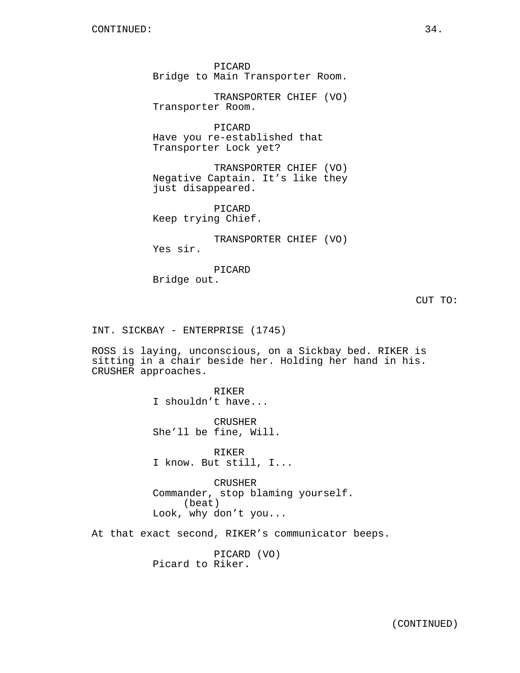PICARD Bridge to Main Transporter Room.

TRANSPORTER CHIEF (VO) Transporter Room.

PICARD Have you re-established that Transporter Lock yet?

TRANSPORTER CHIEF (VO) Negative Captain. It's like they just disappeared.

PICARD Keep trying Chief.

TRANSPORTER CHIEF (VO)

Yes sir.

PICARD Bridge out.

INT. SICKBAY - ENTERPRISE (1745)

ROSS is laying, unconscious, on a Sickbay bed. RIKER is sitting in a chair beside her. Holding her hand in his. CRUSHER approaches.

> RIKER I shouldn't have...

CRUSHER She'll be fine, Will.

RIKER I know. But still, I...

CRUSHER Commander, stop blaming yourself. (beat) Look, why don't you...

At that exact second, RIKER's communicator beeps.

PICARD (VO) Picard to Riker.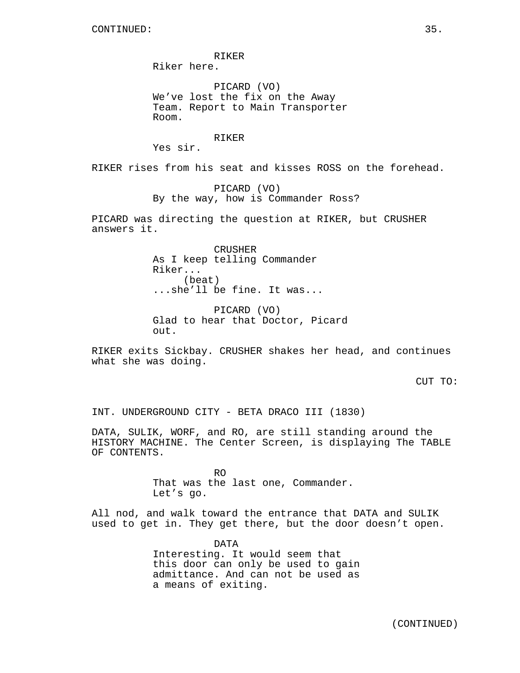RIKER Riker here.

PICARD (VO) We've lost the fix on the Away Team. Report to Main Transporter Room.

RIKER

Yes sir.

RIKER rises from his seat and kisses ROSS on the forehead.

PICARD (VO) By the way, how is Commander Ross?

PICARD was directing the question at RIKER, but CRUSHER answers it.

> CRUSHER As I keep telling Commander Riker... (beat) ...she'll be fine. It was...

PICARD (VO) Glad to hear that Doctor, Picard out.

RIKER exits Sickbay. CRUSHER shakes her head, and continues what she was doing.

CUT TO:

INT. UNDERGROUND CITY - BETA DRACO III (1830)

DATA, SULIK, WORF, and RO, are still standing around the HISTORY MACHINE. The Center Screen, is displaying The TABLE OF CONTENTS.

> RO That was the last one, Commander. Let's go.

All nod, and walk toward the entrance that DATA and SULIK used to get in. They get there, but the door doesn't open.

> DATA Interesting. It would seem that this door can only be used to gain admittance. And can not be used as a means of exiting.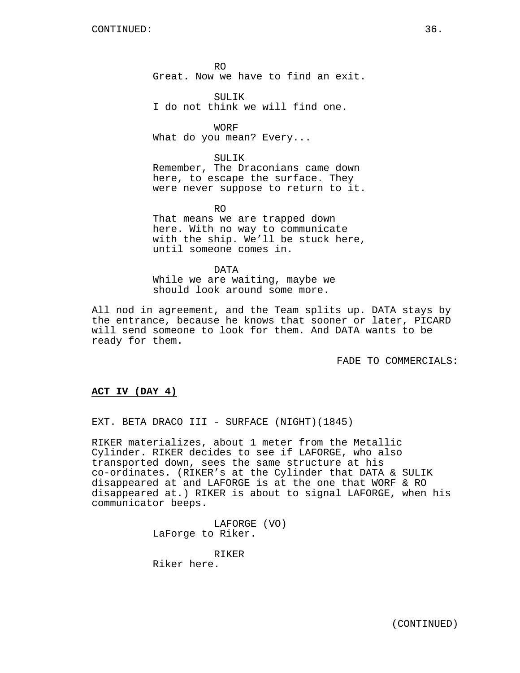$R<sub>O</sub>$ Great. Now we have to find an exit.

SULTK<sub>s</sub> I do not think we will find one.

WORF What do you mean? Every...

SULIK Remember, The Draconians came down here, to escape the surface. They were never suppose to return to it.

RO

That means we are trapped down here. With no way to communicate with the ship. We'll be stuck here, until someone comes in.

DATA While we are waiting, maybe we should look around some more.

All nod in agreement, and the Team splits up. DATA stays by the entrance, because he knows that sooner or later, PICARD will send someone to look for them. And DATA wants to be ready for them.

FADE TO COMMERCIALS:

# **ACT IV (DAY 4)**

EXT. BETA DRACO III - SURFACE (NIGHT) (1845)

RIKER materializes, about 1 meter from the Metallic Cylinder. RIKER decides to see if LAFORGE, who also transported down, sees the same structure at his co-ordinates. (RIKER's at the Cylinder that DATA & SULIK disappeared at and LAFORGE is at the one that WORF & RO disappeared at.) RIKER is about to signal LAFORGE, when his communicator beeps.

> LAFORGE (VO) LaForge to Riker.

RIKER Riker here.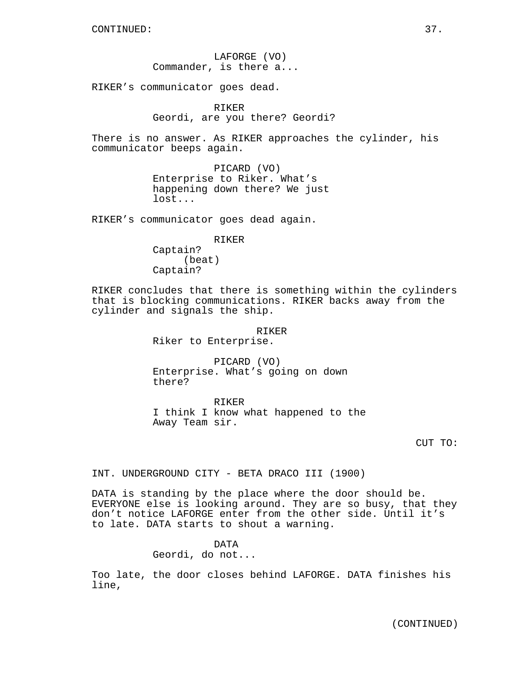LAFORGE (VO) Commander, is there a...

RIKER's communicator goes dead.

RIKER Geordi, are you there? Geordi?

There is no answer. As RIKER approaches the cylinder, his communicator beeps again.

> PICARD (VO) Enterprise to Riker. What's happening down there? We just lost...

RIKER's communicator goes dead again.

RIKER Captain? (beat) Captain?

RIKER concludes that there is something within the cylinders that is blocking communications. RIKER backs away from the cylinder and signals the ship.

#### RIKER

Riker to Enterprise.

PICARD (VO) Enterprise. What's going on down there?

RIKER I think I know what happened to the Away Team sir.

INT. UNDERGROUND CITY - BETA DRACO III (1900)

DATA is standing by the place where the door should be. EVERYONE else is looking around. They are so busy, that they don't notice LAFORGE enter from the other side. Until it's to late. DATA starts to shout a warning.

#### DATA

Geordi, do not...

Too late, the door closes behind LAFORGE. DATA finishes his line,

CUT TO: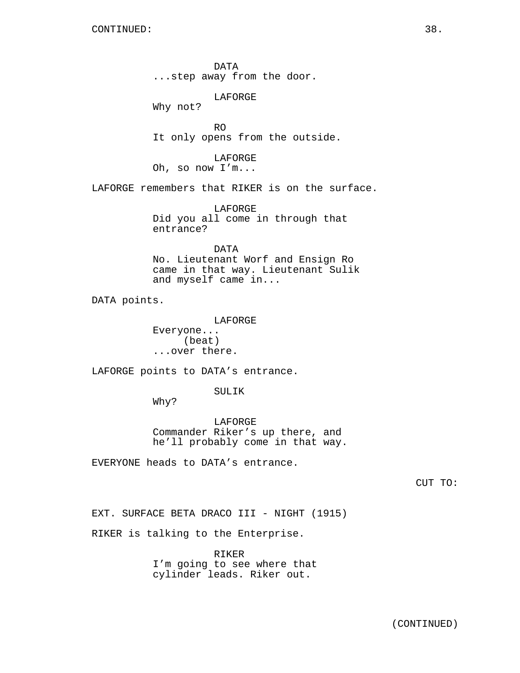DATA ...step away from the door.

LAFORGE

Why not?

RO It only opens from the outside.

LAFORGE Oh, so now I'm...

LAFORGE remembers that RIKER is on the surface.

LAFORGE Did you all come in through that entrance?

# DATA

No. Lieutenant Worf and Ensign Ro came in that way. Lieutenant Sulik and myself came in...

DATA points.

LAFORGE Everyone... (beat) ...over there.

LAFORGE points to DATA's entrance.

SULIK

Why?

LAFORGE Commander Riker's up there, and he'll probably come in that way.

EVERYONE heads to DATA's entrance.

CUT TO:

EXT. SURFACE BETA DRACO III - NIGHT (1915)

RIKER is talking to the Enterprise.

RIKER I'm going to see where that cylinder leads. Riker out.

(CONTINUED)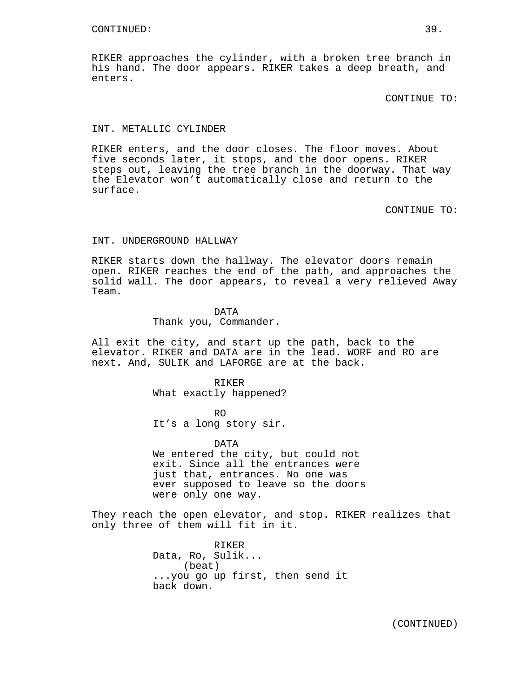RIKER approaches the cylinder, with a broken tree branch in his hand. The door appears. RIKER takes a deep breath, and enters.

CONTINUE TO:

## INT. METALLIC CYLINDER

RIKER enters, and the door closes. The floor moves. About five seconds later, it stops, and the door opens. RIKER steps out, leaving the tree branch in the doorway. That way the Elevator won't automatically close and return to the surface.

CONTINUE TO:

## INT. UNDERGROUND HALLWAY

RIKER starts down the hallway. The elevator doors remain open. RIKER reaches the end of the path, and approaches the solid wall. The door appears, to reveal a very relieved Away Team.

# DATA

Thank you, Commander.

All exit the city, and start up the path, back to the elevator. RIKER and DATA are in the lead. WORF and RO are next. And, SULIK and LAFORGE are at the back.

## RIKER What exactly happened?

RO It's a long story sir.

### DATA

We entered the city, but could not exit. Since all the entrances were just that, entrances. No one was ever supposed to leave so the doors were only one way.

They reach the open elevator, and stop. RIKER realizes that only three of them will fit in it.

> RIKER Data, Ro, Sulik... (beat) ...you go up first, then send it back down.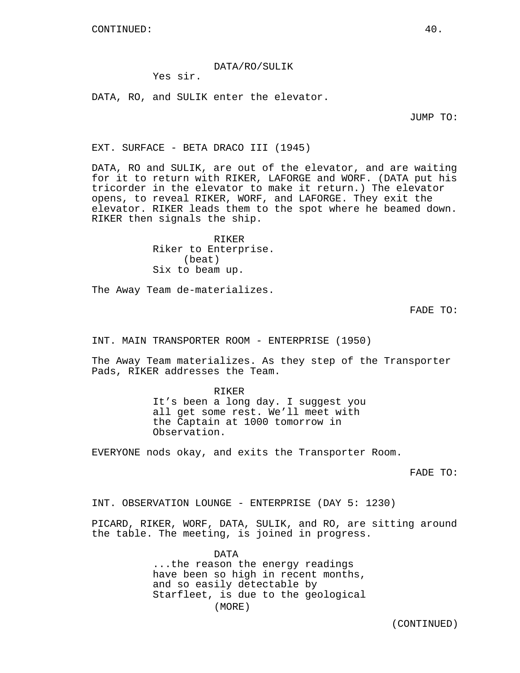DATA/RO/SULIK

Yes sir.

DATA, RO, and SULIK enter the elevator.

JUMP TO:

EXT. SURFACE - BETA DRACO III (1945)

DATA, RO and SULIK, are out of the elevator, and are waiting for it to return with RIKER, LAFORGE and WORF. (DATA put his tricorder in the elevator to make it return.) The elevator opens, to reveal RIKER, WORF, and LAFORGE. They exit the elevator. RIKER leads them to the spot where he beamed down. RIKER then signals the ship.

> RIKER Riker to Enterprise. (beat) Six to beam up.

The Away Team de-materializes.

FADE TO:

INT. MAIN TRANSPORTER ROOM - ENTERPRISE (1950)

The Away Team materializes. As they step of the Transporter Pads, RIKER addresses the Team.

> RIKER It's been a long day. I suggest you all get some rest. We'll meet with the Captain at 1000 tomorrow in Observation.

EVERYONE nods okay, and exits the Transporter Room.

FADE TO:

INT. OBSERVATION LOUNGE - ENTERPRISE (DAY 5: 1230)

PICARD, RIKER, WORF, DATA, SULIK, and RO, are sitting around the table. The meeting, is joined in progress.

> DATA ...the reason the energy readings have been so high in recent months, and so easily detectable by Starfleet, is due to the geological (MORE)

> > (CONTINUED)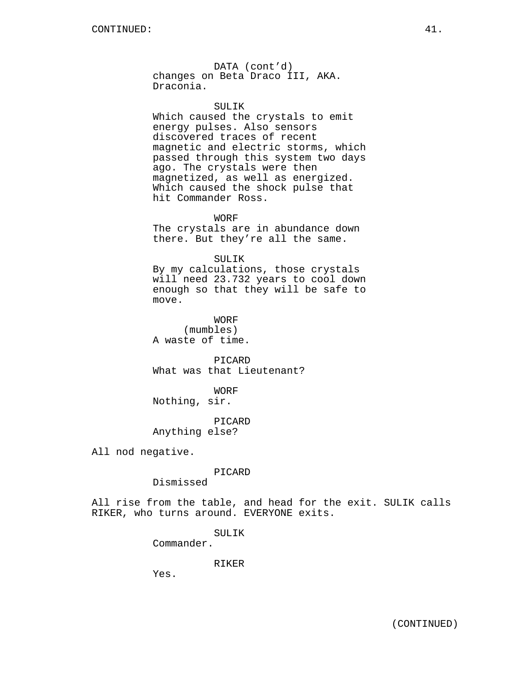DATA (cont'd) changes on Beta Draco III, AKA. Draconia.

SULIK Which caused the crystals to emit energy pulses. Also sensors discovered traces of recent magnetic and electric storms, which passed through this system two days ago. The crystals were then magnetized, as well as energized. Which caused the shock pulse that hit Commander Ross.

WORF

The crystals are in abundance down there. But they're all the same.

SULIK

By my calculations, those crystals will need 23.732 years to cool down enough so that they will be safe to move.

WORF (mumbles) A waste of time.

PICARD What was that Lieutenant?

WORF Nothing, sir.

PICARD Anything else?

All nod negative.

PICARD

Dismissed

All rise from the table, and head for the exit. SULIK calls RIKER, who turns around. EVERYONE exits.

SULIK

Commander.

RIKER

Yes.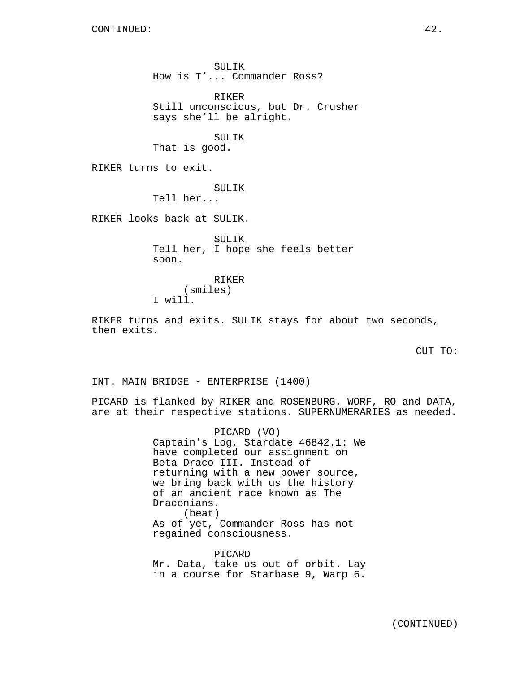SULIK How is T'... Commander Ross? RIKER Still unconscious, but Dr. Crusher says she'll be alright. SULIK That is good. RIKER turns to exit. SULIK Tell her... RIKER looks back at SULIK. SULIK Tell her, I hope she feels better soon. RIKER (smiles) I will. RIKER turns and exits. SULIK stays for about two seconds,

then exits.

CUT TO:

INT. MAIN BRIDGE - ENTERPRISE (1400)

PICARD is flanked by RIKER and ROSENBURG. WORF, RO and DATA, are at their respective stations. SUPERNUMERARIES as needed.

> PICARD (VO) Captain's Log, Stardate 46842.1: We have completed our assignment on Beta Draco III. Instead of returning with a new power source, we bring back with us the history of an ancient race known as The Draconians. (beat) As of yet, Commander Ross has not regained consciousness.

> PICARD Mr. Data, take us out of orbit. Lay in a course for Starbase 9, Warp 6.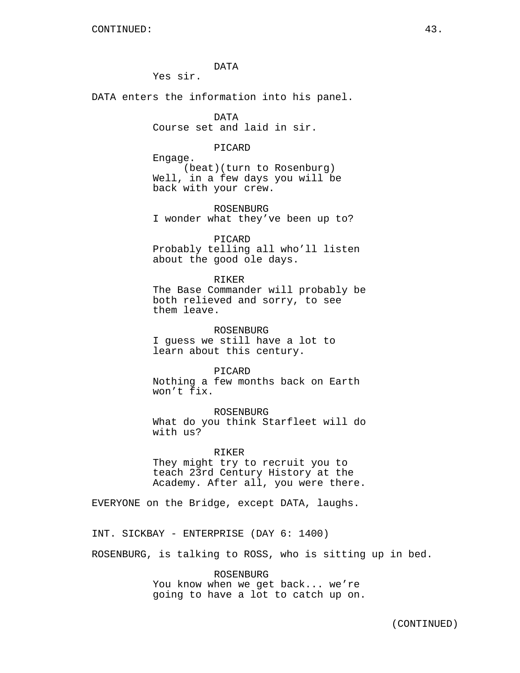DATA

Yes sir.

DATA enters the information into his panel.

DATA Course set and laid in sir.

PICARD

Engage. (beat)(turn to Rosenburg) Well, in a few days you will be back with your crew.

ROSENBURG I wonder what they've been up to?

PICARD Probably telling all who'll listen about the good ole days.

RIKER

The Base Commander will probably be both relieved and sorry, to see them leave.

ROSENBURG I guess we still have a lot to learn about this century.

PICARD Nothing a few months back on Earth won't fix.

ROSENBURG What do you think Starfleet will do with us?

RIKER

They might try to recruit you to teach 23rd Century History at the Academy. After all, you were there.

EVERYONE on the Bridge, except DATA, laughs.

INT. SICKBAY - ENTERPRISE (DAY 6: 1400)

ROSENBURG, is talking to ROSS, who is sitting up in bed.

ROSENBURG You know when we get back... we're going to have a lot to catch up on.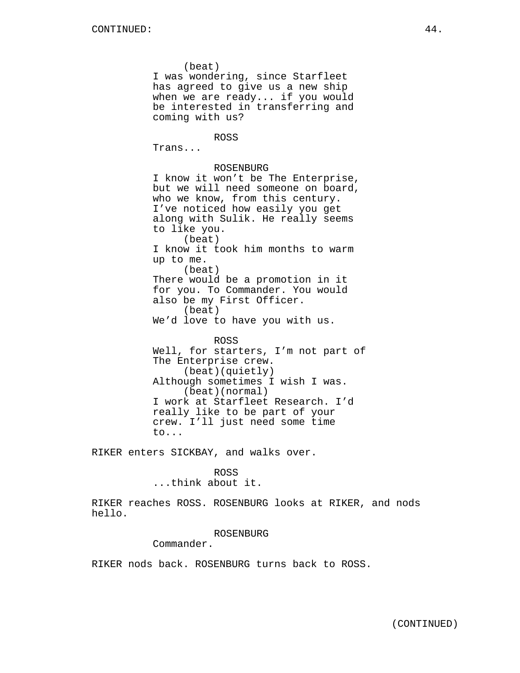(beat) I was wondering, since Starfleet has agreed to give us a new ship when we are ready... if you would be interested in transferring and coming with us? ROSS Trans... ROSENBURG I know it won't be The Enterprise, but we will need someone on board, who we know, from this century. I've noticed how easily you get along with Sulik. He really seems to like you. (beat) I know it took him months to warm up to me. (beat) There would be a promotion in it for you. To Commander. You would also be my First Officer. (beat) We'd love to have you with us. ROSS Well, for starters, I'm not part of The Enterprise crew. (beat)(quietly) Although sometimes I wish I was. (beat)(normal) I work at Starfleet Research. I'd really like to be part of your crew. I'll just need some time to...

RIKER enters SICKBAY, and walks over.

#### ROSS

...think about it.

RIKER reaches ROSS. ROSENBURG looks at RIKER, and nods hello.

## ROSENBURG

Commander.

RIKER nods back. ROSENBURG turns back to ROSS.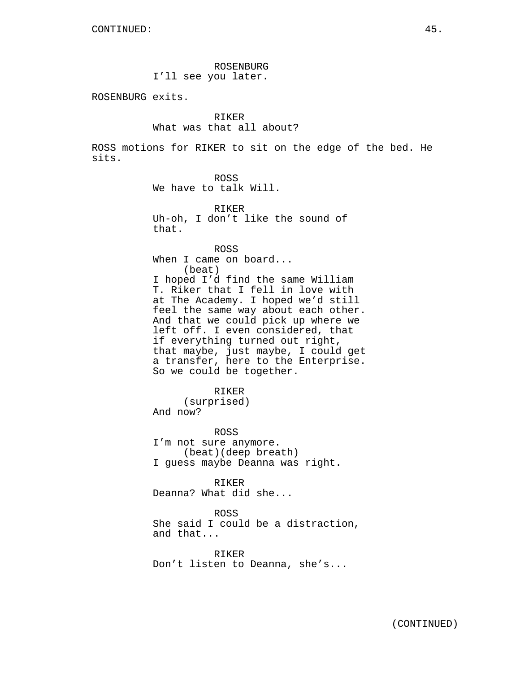ROSENBURG I'll see you later.

ROSENBURG exits.

# RIKER

## What was that all about?

ROSS motions for RIKER to sit on the edge of the bed. He sits.

ROSS

We have to talk Will.

RIKER Uh-oh, I don't like the sound of that.

ROSS When I came on board... (beat) I hoped I'd find the same William T. Riker that I fell in love with at The Academy. I hoped we'd still feel the same way about each other. And that we could pick up where we left off. I even considered, that if everything turned out right, that maybe, just maybe, I could get a transfer, here to the Enterprise. So we could be together.

RIKER (surprised) And now?

ROSS I'm not sure anymore. (beat)(deep breath) I guess maybe Deanna was right.

RIKER Deanna? What did she...

ROSS

She said I could be a distraction, and that...

RIKER Don't listen to Deanna, she's...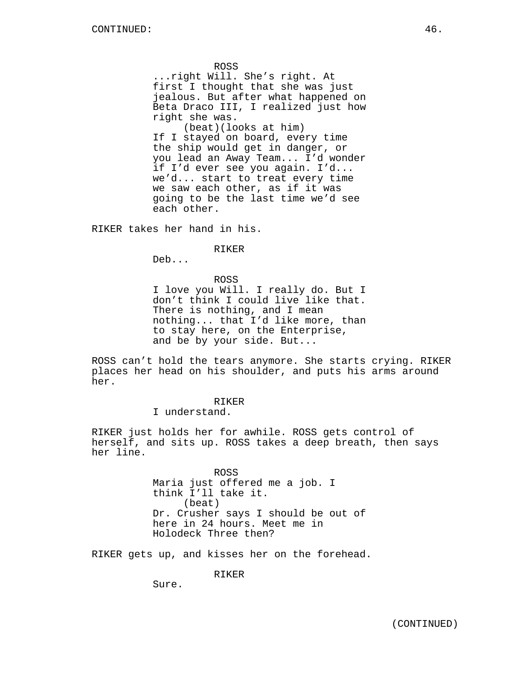ROSS

...right Will. She's right. At first I thought that she was just jealous. But after what happened on Beta Draco III, I realized just how right she was.

(beat)(looks at him) If I stayed on board, every time the ship would get in danger, or you lead an Away Team... I'd wonder if I'd ever see you again. I'd... we'd... start to treat every time we saw each other, as if it was going to be the last time we'd see each other.

RIKER takes her hand in his.

RIKER

Deb...

ROSS I love you Will. I really do. But I don't think I could live like that. There is nothing, and I mean nothing... that I'd like more, than to stay here, on the Enterprise, and be by your side. But...

ROSS can't hold the tears anymore. She starts crying. RIKER places her head on his shoulder, and puts his arms around her.

# RIKER

I understand.

RIKER just holds her for awhile. ROSS gets control of herself, and sits up. ROSS takes a deep breath, then says her line.

> ROSS Maria just offered me a job. I think I'll take it. (beat) Dr. Crusher says I should be out of here in 24 hours. Meet me in Holodeck Three then?

RIKER gets up, and kisses her on the forehead.

RIKER

Sure.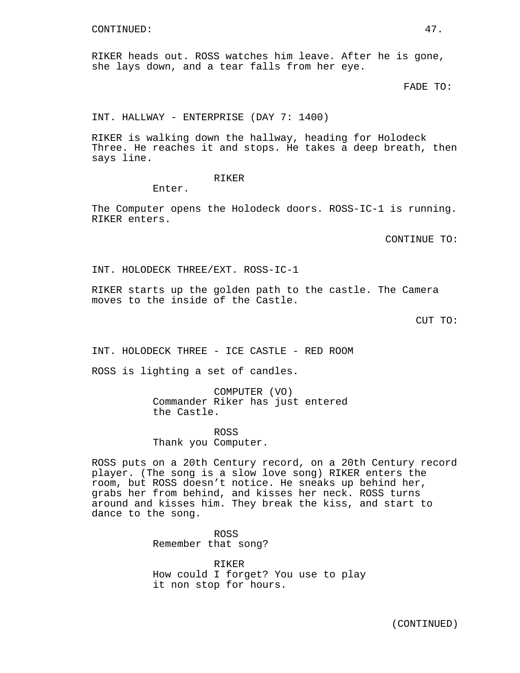RIKER heads out. ROSS watches him leave. After he is gone, she lays down, and a tear falls from her eye.

FADE TO:

INT. HALLWAY - ENTERPRISE (DAY 7: 1400)

RIKER is walking down the hallway, heading for Holodeck Three. He reaches it and stops. He takes a deep breath, then says line.

#### RIKER

Enter.

The Computer opens the Holodeck doors. ROSS-IC-1 is running. RIKER enters.

CONTINUE TO:

INT. HOLODECK THREE/EXT. ROSS-IC-1

RIKER starts up the golden path to the castle. The Camera moves to the inside of the Castle.

CUT TO:

INT. HOLODECK THREE - ICE CASTLE - RED ROOM

ROSS is lighting a set of candles.

COMPUTER (VO) Commander Riker has just entered the Castle.

ROSS Thank you Computer.

ROSS puts on a 20th Century record, on a 20th Century record player. (The song is a slow love song) RIKER enters the room, but ROSS doesn't notice. He sneaks up behind her, grabs her from behind, and kisses her neck. ROSS turns around and kisses him. They break the kiss, and start to dance to the song.

> ROSS Remember that song?

RIKER How could I forget? You use to play it non stop for hours.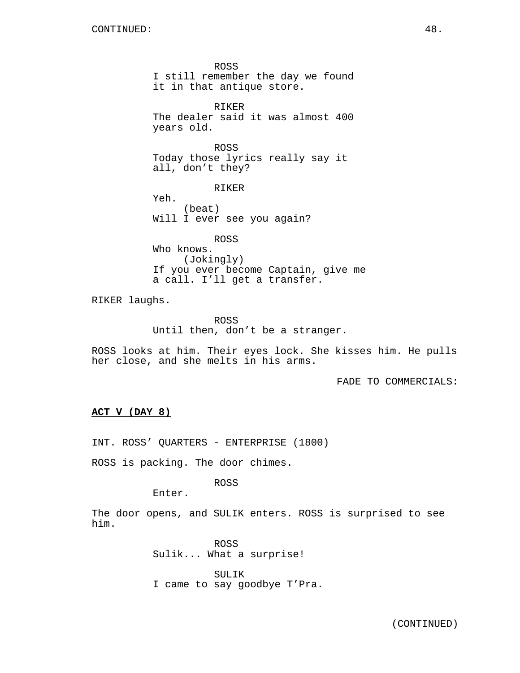ROSS I still remember the day we found it in that antique store. RIKER The dealer said it was almost 400 years old. ROSS Today those lyrics really say it all, don't they? RIKER Yeh. (beat) Will I ever see you again? ROSS Who knows. (Jokingly) If you ever become Captain, give me a call. I'll get a transfer.

RIKER laughs.

ROSS Until then, don't be a stranger.

ROSS looks at him. Their eyes lock. She kisses him. He pulls her close, and she melts in his arms.

FADE TO COMMERCIALS:

# **ACT V (DAY 8)**

INT. ROSS' QUARTERS - ENTERPRISE (1800)

ROSS is packing. The door chimes.

# ROSS

Enter.

The door opens, and SULIK enters. ROSS is surprised to see him.

> ROSS Sulik... What a surprise!

SULIK I came to say goodbye T'Pra.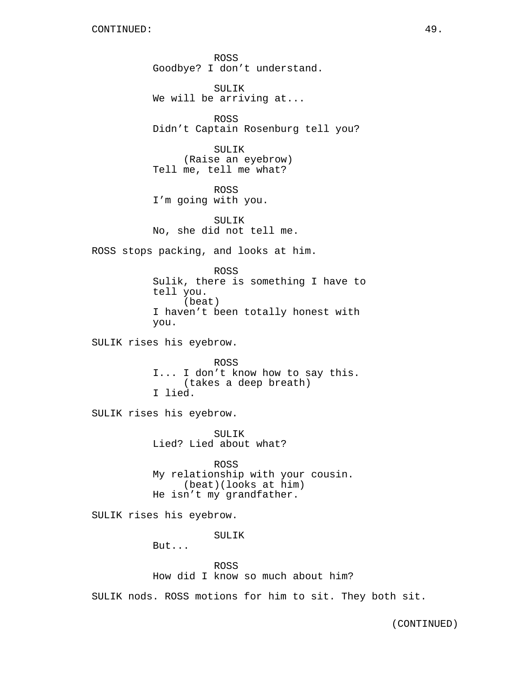ROSS Goodbye? I don't understand.

SULIK We will be arriving at...

ROSS Didn't Captain Rosenburg tell you?

SULIK (Raise an eyebrow) Tell me, tell me what?

ROSS I'm going with you.

SULIK No, she did not tell me.

ROSS stops packing, and looks at him.

ROSS Sulik, there is something I have to tell you. (beat) I haven't been totally honest with you.

SULIK rises his eyebrow.

ROSS I... I don't know how to say this. (takes a deep breath) I lied.

SULIK rises his eyebrow.

SULIK Lied? Lied about what?

ROSS My relationship with your cousin. (beat)(looks at him) He isn't my grandfather.

SULIK rises his eyebrow.

SULIK

But...

ROSS

How did I know so much about him?

SULIK nods. ROSS motions for him to sit. They both sit.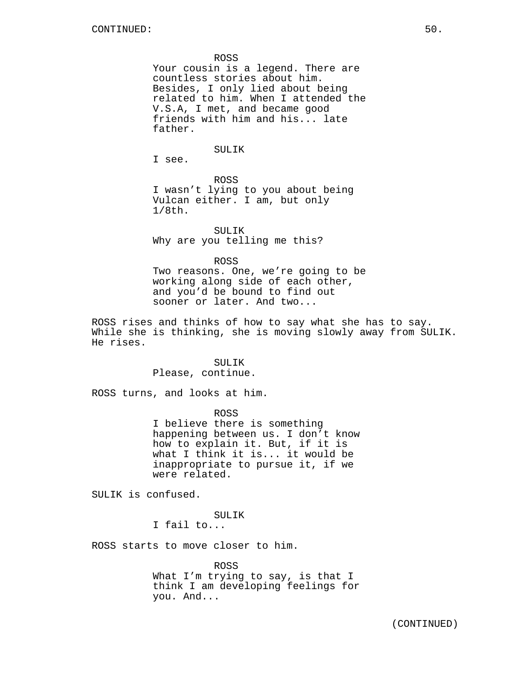ROSS

Your cousin is a legend. There are countless stories about him. Besides, I only lied about being related to him. When I attended the V.S.A, I met, and became good friends with him and his... late father.

SULIK

I see.

ROSS I wasn't lying to you about being Vulcan either. I am, but only 1/8th.

SULIK Why are you telling me this?

ROSS

Two reasons. One, we're going to be working along side of each other, and you'd be bound to find out sooner or later. And two...

ROSS rises and thinks of how to say what she has to say. While she is thinking, she is moving slowly away from SULIK. He rises.

> SULIK Please, continue.

ROSS turns, and looks at him.

ROSS I believe there is something happening between us. I don't know how to explain it. But, if it is what I think it is... it would be inappropriate to pursue it, if we were related.

SULIK is confused.

SULIK

I fail to...

ROSS starts to move closer to him.

ROSS What I'm trying to say, is that I think I am developing feelings for you. And...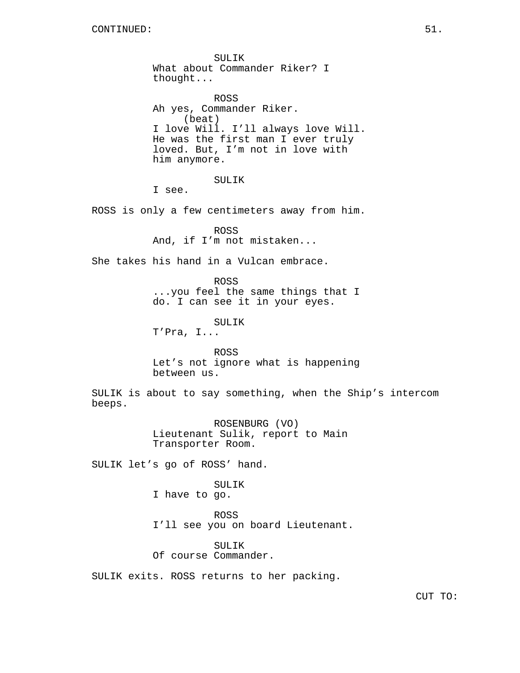SULIK What about Commander Riker? I thought... ROSS Ah yes, Commander Riker. (beat) I love Will. I'll always love Will. He was the first man I ever truly loved. But, I'm not in love with him anymore. SULIK I see. ROSS is only a few centimeters away from him. ROSS And, if I'm not mistaken... She takes his hand in a Vulcan embrace. ROSS ...you feel the same things that I do. I can see it in your eyes. SULIK T'Pra, I... ROSS Let's not ignore what is happening between us. SULIK is about to say something, when the Ship's intercom beeps. ROSENBURG (VO) Lieutenant Sulik, report to Main Transporter Room. SULIK let's go of ROSS' hand. SULIK I have to go. ROSS I'll see you on board Lieutenant. SULIK Of course Commander. SULIK exits. ROSS returns to her packing.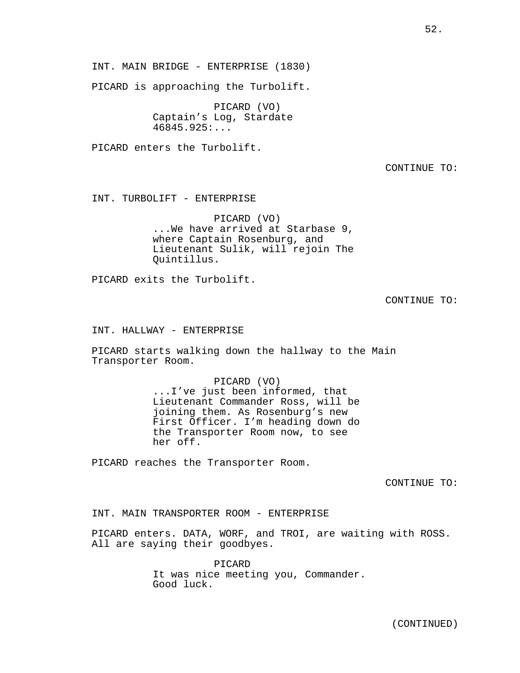INT. MAIN BRIDGE - ENTERPRISE (1830)

PICARD is approaching the Turbolift.

PICARD (VO) Captain's Log, Stardate 46845.925:...

PICARD enters the Turbolift.

CONTINUE TO:

INT. TURBOLIFT - ENTERPRISE

PICARD (VO) ...We have arrived at Starbase 9, where Captain Rosenburg, and Lieutenant Sulik, will rejoin The Quintillus.

PICARD exits the Turbolift.

CONTINUE TO:

INT. HALLWAY - ENTERPRISE

PICARD starts walking down the hallway to the Main Transporter Room.

> PICARD (VO) ...I've just been informed, that Lieutenant Commander Ross, will be joining them. As Rosenburg's new First Officer. I'm heading down do the Transporter Room now, to see her off.

PICARD reaches the Transporter Room.

CONTINUE TO:

INT. MAIN TRANSPORTER ROOM - ENTERPRISE

PICARD enters. DATA, WORF, and TROI, are waiting with ROSS. All are saying their goodbyes.

> PICARD It was nice meeting you, Commander. Good luck.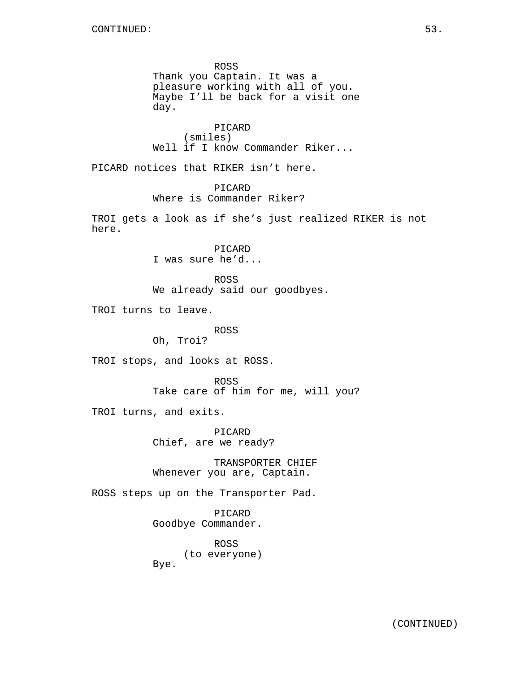ROSS Thank you Captain. It was a pleasure working with all of you. Maybe I'll be back for a visit one day. PICARD (smiles) Well if I know Commander Riker... PICARD notices that RIKER isn't here. PICARD Where is Commander Riker? TROI gets a look as if she's just realized RIKER is not here. PICARD I was sure he'd... ROSS We already said our goodbyes. TROI turns to leave. ROSS Oh, Troi? TROI stops, and looks at ROSS. ROSS Take care of him for me, will you? TROI turns, and exits. PICARD Chief, are we ready? TRANSPORTER CHIEF Whenever you are, Captain. ROSS steps up on the Transporter Pad. PICARD Goodbye Commander. ROSS (to everyone) Bye.